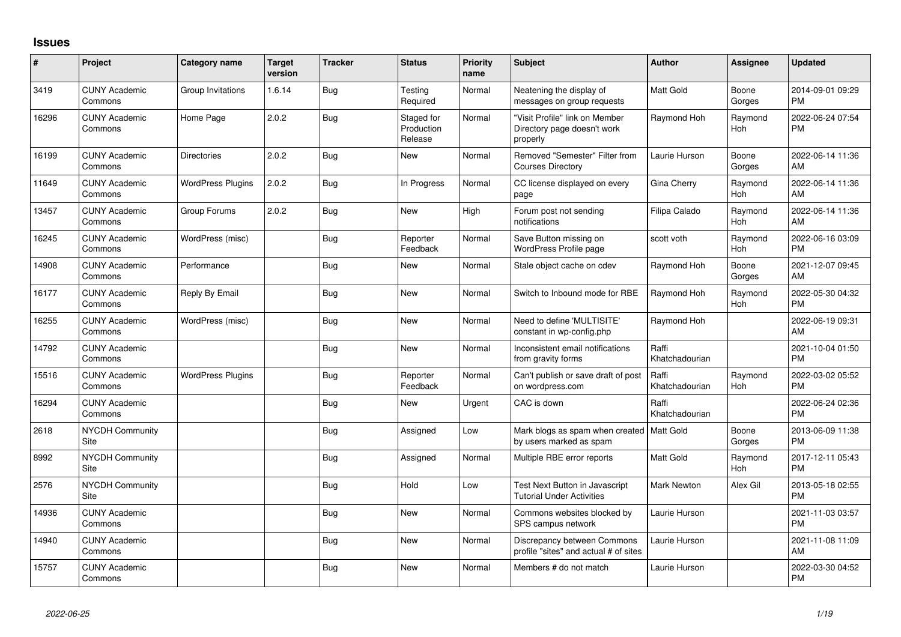## **Issues**

| $\sharp$ | Project                         | Category name            | <b>Target</b><br>version | <b>Tracker</b> | <b>Status</b>                       | <b>Priority</b><br>name | <b>Subject</b>                                                            | Author                  | <b>Assignee</b> | <b>Updated</b>                |
|----------|---------------------------------|--------------------------|--------------------------|----------------|-------------------------------------|-------------------------|---------------------------------------------------------------------------|-------------------------|-----------------|-------------------------------|
| 3419     | <b>CUNY Academic</b><br>Commons | Group Invitations        | 1.6.14                   | Bug            | Testing<br>Required                 | Normal                  | Neatening the display of<br>messages on group requests                    | Matt Gold               | Boone<br>Gorges | 2014-09-01 09:29<br><b>PM</b> |
| 16296    | <b>CUNY Academic</b><br>Commons | Home Page                | 2.0.2                    | <b>Bug</b>     | Staged for<br>Production<br>Release | Normal                  | "Visit Profile" link on Member<br>Directory page doesn't work<br>properly | Raymond Hoh             | Raymond<br>Hoh  | 2022-06-24 07:54<br><b>PM</b> |
| 16199    | <b>CUNY Academic</b><br>Commons | Directories              | 2.0.2                    | Bug            | New                                 | Normal                  | Removed "Semester" Filter from<br><b>Courses Directory</b>                | Laurie Hurson           | Boone<br>Gorges | 2022-06-14 11:36<br>AM        |
| 11649    | <b>CUNY Academic</b><br>Commons | <b>WordPress Plugins</b> | 2.0.2                    | Bug            | In Progress                         | Normal                  | CC license displayed on every<br>page                                     | Gina Cherry             | Raymond<br>Hoh  | 2022-06-14 11:36<br>AM        |
| 13457    | <b>CUNY Academic</b><br>Commons | Group Forums             | 2.0.2                    | Bug            | New                                 | High                    | Forum post not sending<br>notifications                                   | Filipa Calado           | Raymond<br>Hoh  | 2022-06-14 11:36<br>AM        |
| 16245    | <b>CUNY Academic</b><br>Commons | WordPress (misc)         |                          | Bug            | Reporter<br>Feedback                | Normal                  | Save Button missing on<br>WordPress Profile page                          | scott voth              | Raymond<br>Hoh  | 2022-06-16 03:09<br><b>PM</b> |
| 14908    | <b>CUNY Academic</b><br>Commons | Performance              |                          | Bug            | New                                 | Normal                  | Stale object cache on cdev                                                | Raymond Hoh             | Boone<br>Gorges | 2021-12-07 09:45<br>AM        |
| 16177    | <b>CUNY Academic</b><br>Commons | Reply By Email           |                          | Bug            | <b>New</b>                          | Normal                  | Switch to Inbound mode for RBE                                            | Raymond Hoh             | Raymond<br>Hoh  | 2022-05-30 04:32<br>PM        |
| 16255    | <b>CUNY Academic</b><br>Commons | WordPress (misc)         |                          | Bug            | New                                 | Normal                  | Need to define 'MULTISITE'<br>constant in wp-config.php                   | Raymond Hoh             |                 | 2022-06-19 09:31<br>AM        |
| 14792    | <b>CUNY Academic</b><br>Commons |                          |                          | <b>Bug</b>     | New                                 | Normal                  | Inconsistent email notifications<br>from gravity forms                    | Raffi<br>Khatchadourian |                 | 2021-10-04 01:50<br><b>PM</b> |
| 15516    | <b>CUNY Academic</b><br>Commons | <b>WordPress Plugins</b> |                          | <b>Bug</b>     | Reporter<br>Feedback                | Normal                  | Can't publish or save draft of post<br>on wordpress.com                   | Raffi<br>Khatchadourian | Raymond<br>Hoh  | 2022-03-02 05:52<br><b>PM</b> |
| 16294    | <b>CUNY Academic</b><br>Commons |                          |                          | Bug            | New                                 | Urgent                  | CAC is down                                                               | Raffi<br>Khatchadourian |                 | 2022-06-24 02:36<br><b>PM</b> |
| 2618     | NYCDH Community<br>Site         |                          |                          | Bug            | Assigned                            | Low                     | Mark blogs as spam when created   Matt Gold<br>by users marked as spam    |                         | Boone<br>Gorges | 2013-06-09 11:38<br><b>PM</b> |
| 8992     | <b>NYCDH Community</b><br>Site  |                          |                          | <b>Bug</b>     | Assigned                            | Normal                  | Multiple RBE error reports                                                | <b>Matt Gold</b>        | Raymond<br>Hoh  | 2017-12-11 05:43<br><b>PM</b> |
| 2576     | <b>NYCDH Community</b><br>Site  |                          |                          | Bug            | Hold                                | Low                     | Test Next Button in Javascript<br><b>Tutorial Under Activities</b>        | Mark Newton             | Alex Gil        | 2013-05-18 02:55<br><b>PM</b> |
| 14936    | <b>CUNY Academic</b><br>Commons |                          |                          | <b>Bug</b>     | New                                 | Normal                  | Commons websites blocked by<br>SPS campus network                         | Laurie Hurson           |                 | 2021-11-03 03:57<br><b>PM</b> |
| 14940    | <b>CUNY Academic</b><br>Commons |                          |                          | Bug            | New                                 | Normal                  | Discrepancy between Commons<br>profile "sites" and actual # of sites      | Laurie Hurson           |                 | 2021-11-08 11:09<br>AM        |
| 15757    | <b>CUNY Academic</b><br>Commons |                          |                          | Bug            | <b>New</b>                          | Normal                  | Members # do not match                                                    | Laurie Hurson           |                 | 2022-03-30 04:52<br><b>PM</b> |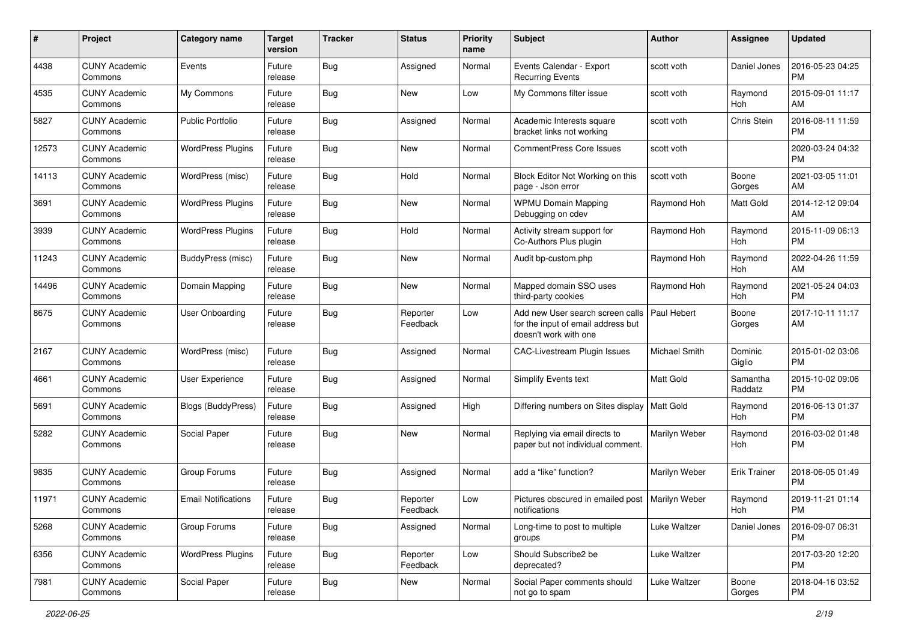| #     | Project                         | <b>Category name</b>       | <b>Target</b><br>version | <b>Tracker</b> | <b>Status</b>        | <b>Priority</b><br>name | Subject                                                                                         | Author           | <b>Assignee</b>     | <b>Updated</b>                |
|-------|---------------------------------|----------------------------|--------------------------|----------------|----------------------|-------------------------|-------------------------------------------------------------------------------------------------|------------------|---------------------|-------------------------------|
| 4438  | <b>CUNY Academic</b><br>Commons | Events                     | Future<br>release        | <b>Bug</b>     | Assigned             | Normal                  | Events Calendar - Export<br><b>Recurring Events</b>                                             | scott voth       | Daniel Jones        | 2016-05-23 04:25<br><b>PM</b> |
| 4535  | <b>CUNY Academic</b><br>Commons | My Commons                 | Future<br>release        | <b>Bug</b>     | New                  | Low                     | My Commons filter issue                                                                         | scott voth       | Raymond<br>Hoh      | 2015-09-01 11:17<br>AM        |
| 5827  | <b>CUNY Academic</b><br>Commons | <b>Public Portfolio</b>    | Future<br>release        | Bug            | Assigned             | Normal                  | Academic Interests square<br>bracket links not working                                          | scott voth       | Chris Stein         | 2016-08-11 11:59<br><b>PM</b> |
| 12573 | <b>CUNY Academic</b><br>Commons | <b>WordPress Plugins</b>   | Future<br>release        | Bug            | New                  | Normal                  | <b>CommentPress Core Issues</b>                                                                 | scott voth       |                     | 2020-03-24 04:32<br><b>PM</b> |
| 14113 | <b>CUNY Academic</b><br>Commons | WordPress (misc)           | Future<br>release        | Bug            | Hold                 | Normal                  | Block Editor Not Working on this<br>page - Json error                                           | scott voth       | Boone<br>Gorges     | 2021-03-05 11:01<br>AM        |
| 3691  | <b>CUNY Academic</b><br>Commons | <b>WordPress Plugins</b>   | Future<br>release        | Bug            | New                  | Normal                  | <b>WPMU Domain Mapping</b><br>Debugging on cdev                                                 | Raymond Hoh      | Matt Gold           | 2014-12-12 09:04<br>AM        |
| 3939  | <b>CUNY Academic</b><br>Commons | <b>WordPress Plugins</b>   | Future<br>release        | Bug            | Hold                 | Normal                  | Activity stream support for<br>Co-Authors Plus plugin                                           | Raymond Hoh      | Raymond<br>Hoh      | 2015-11-09 06:13<br><b>PM</b> |
| 11243 | <b>CUNY Academic</b><br>Commons | BuddyPress (misc)          | Future<br>release        | <b>Bug</b>     | <b>New</b>           | Normal                  | Audit bp-custom.php                                                                             | Raymond Hoh      | Raymond<br>Hoh      | 2022-04-26 11:59<br>AM        |
| 14496 | <b>CUNY Academic</b><br>Commons | Domain Mapping             | Future<br>release        | <b>Bug</b>     | New                  | Normal                  | Mapped domain SSO uses<br>third-party cookies                                                   | Raymond Hoh      | Raymond<br>Hoh      | 2021-05-24 04:03<br><b>PM</b> |
| 8675  | <b>CUNY Academic</b><br>Commons | <b>User Onboarding</b>     | Future<br>release        | Bug            | Reporter<br>Feedback | Low                     | Add new User search screen calls<br>for the input of email address but<br>doesn't work with one | Paul Hebert      | Boone<br>Gorges     | 2017-10-11 11:17<br>AM        |
| 2167  | <b>CUNY Academic</b><br>Commons | WordPress (misc)           | Future<br>release        | Bug            | Assigned             | Normal                  | CAC-Livestream Plugin Issues                                                                    | Michael Smith    | Dominic<br>Giglio   | 2015-01-02 03:06<br><b>PM</b> |
| 4661  | <b>CUNY Academic</b><br>Commons | User Experience            | Future<br>release        | Bug            | Assigned             | Normal                  | Simplify Events text                                                                            | <b>Matt Gold</b> | Samantha<br>Raddatz | 2015-10-02 09:06<br><b>PM</b> |
| 5691  | <b>CUNY Academic</b><br>Commons | <b>Blogs (BuddyPress)</b>  | Future<br>release        | Bug            | Assigned             | High                    | Differing numbers on Sites display   Matt Gold                                                  |                  | Raymond<br>Hoh      | 2016-06-13 01:37<br><b>PM</b> |
| 5282  | <b>CUNY Academic</b><br>Commons | Social Paper               | Future<br>release        | Bug            | New                  | Normal                  | Replying via email directs to<br>paper but not individual comment.                              | Marilyn Weber    | Raymond<br>Hoh      | 2016-03-02 01:48<br><b>PM</b> |
| 9835  | <b>CUNY Academic</b><br>Commons | Group Forums               | Future<br>release        | Bug            | Assigned             | Normal                  | add a "like" function?                                                                          | Marilyn Weber    | <b>Erik Trainer</b> | 2018-06-05 01:49<br><b>PM</b> |
| 11971 | <b>CUNY Academic</b><br>Commons | <b>Email Notifications</b> | Future<br>release        | Bug            | Reporter<br>Feedback | Low                     | Pictures obscured in emailed post   Marilyn Weber<br>notifications                              |                  | Raymond<br>Hoh      | 2019-11-21 01:14<br>PM        |
| 5268  | <b>CUNY Academic</b><br>Commons | Group Forums               | Future<br>release        | <b>Bug</b>     | Assigned             | Normal                  | Long-time to post to multiple<br>groups                                                         | Luke Waltzer     | Daniel Jones        | 2016-09-07 06:31<br>PM        |
| 6356  | <b>CUNY Academic</b><br>Commons | <b>WordPress Plugins</b>   | Future<br>release        | <b>Bug</b>     | Reporter<br>Feedback | Low                     | Should Subscribe2 be<br>deprecated?                                                             | Luke Waltzer     |                     | 2017-03-20 12:20<br><b>PM</b> |
| 7981  | <b>CUNY Academic</b><br>Commons | Social Paper               | Future<br>release        | <b>Bug</b>     | New                  | Normal                  | Social Paper comments should<br>not go to spam                                                  | Luke Waltzer     | Boone<br>Gorges     | 2018-04-16 03:52<br>PM        |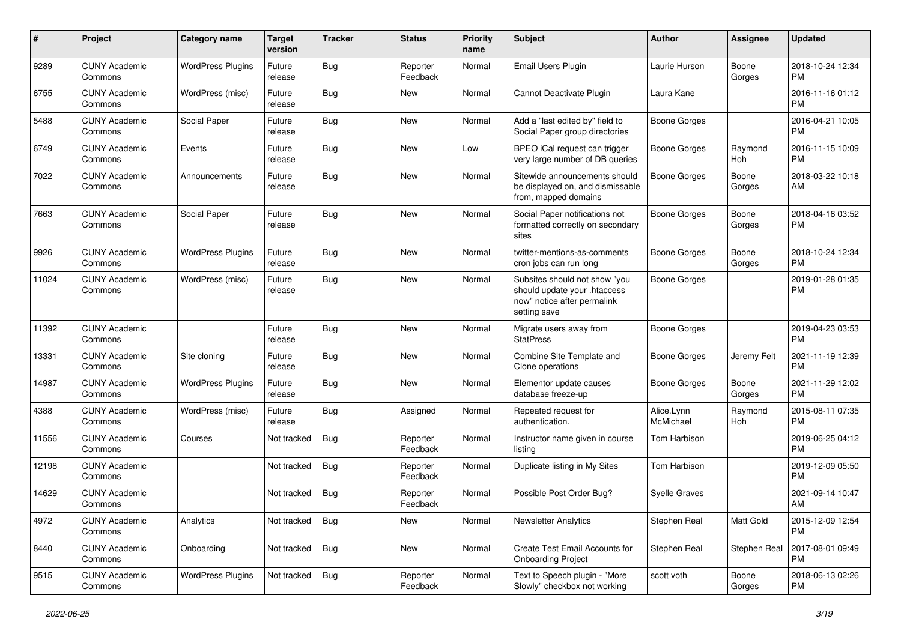| $\#$  | Project                         | <b>Category name</b>     | <b>Target</b><br>version | <b>Tracker</b> | <b>Status</b>        | <b>Priority</b><br>name | <b>Subject</b>                                                                                               | <b>Author</b>           | <b>Assignee</b>       | <b>Updated</b>                |
|-------|---------------------------------|--------------------------|--------------------------|----------------|----------------------|-------------------------|--------------------------------------------------------------------------------------------------------------|-------------------------|-----------------------|-------------------------------|
| 9289  | <b>CUNY Academic</b><br>Commons | <b>WordPress Plugins</b> | Future<br>release        | <b>Bug</b>     | Reporter<br>Feedback | Normal                  | Email Users Plugin                                                                                           | Laurie Hurson           | Boone<br>Gorges       | 2018-10-24 12:34<br><b>PM</b> |
| 6755  | <b>CUNY Academic</b><br>Commons | WordPress (misc)         | Future<br>release        | <b>Bug</b>     | New                  | Normal                  | Cannot Deactivate Plugin                                                                                     | Laura Kane              |                       | 2016-11-16 01:12<br><b>PM</b> |
| 5488  | <b>CUNY Academic</b><br>Commons | Social Paper             | Future<br>release        | <b>Bug</b>     | New                  | Normal                  | Add a "last edited by" field to<br>Social Paper group directories                                            | <b>Boone Gorges</b>     |                       | 2016-04-21 10:05<br><b>PM</b> |
| 6749  | <b>CUNY Academic</b><br>Commons | Events                   | Future<br>release        | Bug            | New                  | Low                     | BPEO iCal request can trigger<br>very large number of DB queries                                             | <b>Boone Gorges</b>     | Raymond<br>Hoh        | 2016-11-15 10:09<br><b>PM</b> |
| 7022  | <b>CUNY Academic</b><br>Commons | Announcements            | Future<br>release        | Bug            | New                  | Normal                  | Sitewide announcements should<br>be displayed on, and dismissable<br>from, mapped domains                    | Boone Gorges            | Boone<br>Gorges       | 2018-03-22 10:18<br>AM        |
| 7663  | <b>CUNY Academic</b><br>Commons | Social Paper             | Future<br>release        | <b>Bug</b>     | New                  | Normal                  | Social Paper notifications not<br>formatted correctly on secondary<br>sites                                  | Boone Gorges            | Boone<br>Gorges       | 2018-04-16 03:52<br><b>PM</b> |
| 9926  | <b>CUNY Academic</b><br>Commons | <b>WordPress Plugins</b> | Future<br>release        | Bug            | <b>New</b>           | Normal                  | twitter-mentions-as-comments<br>cron jobs can run long                                                       | <b>Boone Gorges</b>     | Boone<br>Gorges       | 2018-10-24 12:34<br><b>PM</b> |
| 11024 | <b>CUNY Academic</b><br>Commons | WordPress (misc)         | Future<br>release        | <b>Bug</b>     | New                  | Normal                  | Subsites should not show "you<br>should update your .htaccess<br>now" notice after permalink<br>setting save | <b>Boone Gorges</b>     |                       | 2019-01-28 01:35<br><b>PM</b> |
| 11392 | <b>CUNY Academic</b><br>Commons |                          | Future<br>release        | Bug            | <b>New</b>           | Normal                  | Migrate users away from<br><b>StatPress</b>                                                                  | <b>Boone Gorges</b>     |                       | 2019-04-23 03:53<br><b>PM</b> |
| 13331 | <b>CUNY Academic</b><br>Commons | Site cloning             | Future<br>release        | <b>Bug</b>     | <b>New</b>           | Normal                  | Combine Site Template and<br>Clone operations                                                                | <b>Boone Gorges</b>     | Jeremy Felt           | 2021-11-19 12:39<br><b>PM</b> |
| 14987 | <b>CUNY Academic</b><br>Commons | <b>WordPress Plugins</b> | Future<br>release        | <b>Bug</b>     | <b>New</b>           | Normal                  | Elementor update causes<br>database freeze-up                                                                | <b>Boone Gorges</b>     | Boone<br>Gorges       | 2021-11-29 12:02<br><b>PM</b> |
| 4388  | <b>CUNY Academic</b><br>Commons | WordPress (misc)         | Future<br>release        | <b>Bug</b>     | Assigned             | Normal                  | Repeated request for<br>authentication.                                                                      | Alice.Lynn<br>McMichael | Raymond<br><b>Hoh</b> | 2015-08-11 07:35<br><b>PM</b> |
| 11556 | <b>CUNY Academic</b><br>Commons | Courses                  | Not tracked              | <b>Bug</b>     | Reporter<br>Feedback | Normal                  | Instructor name given in course<br>listing                                                                   | Tom Harbison            |                       | 2019-06-25 04:12<br><b>PM</b> |
| 12198 | <b>CUNY Academic</b><br>Commons |                          | Not tracked              | Bug            | Reporter<br>Feedback | Normal                  | Duplicate listing in My Sites                                                                                | Tom Harbison            |                       | 2019-12-09 05:50<br><b>PM</b> |
| 14629 | <b>CUNY Academic</b><br>Commons |                          | Not tracked              | <b>Bug</b>     | Reporter<br>Feedback | Normal                  | Possible Post Order Bug?                                                                                     | <b>Syelle Graves</b>    |                       | 2021-09-14 10:47<br>AM        |
| 4972  | <b>CUNY Academic</b><br>Commons | Analytics                | Not tracked              | Bug            | New                  | Normal                  | <b>Newsletter Analytics</b>                                                                                  | Stephen Real            | Matt Gold             | 2015-12-09 12:54<br><b>PM</b> |
| 8440  | <b>CUNY Academic</b><br>Commons | Onboarding               | Not tracked              | Bug            | New                  | Normal                  | Create Test Email Accounts for<br><b>Onboarding Project</b>                                                  | Stephen Real            | Stephen Real          | 2017-08-01 09:49<br>PM        |
| 9515  | <b>CUNY Academic</b><br>Commons | <b>WordPress Plugins</b> | Not tracked              | Bug            | Reporter<br>Feedback | Normal                  | Text to Speech plugin - "More<br>Slowly" checkbox not working                                                | scott voth              | Boone<br>Gorges       | 2018-06-13 02:26<br>PM        |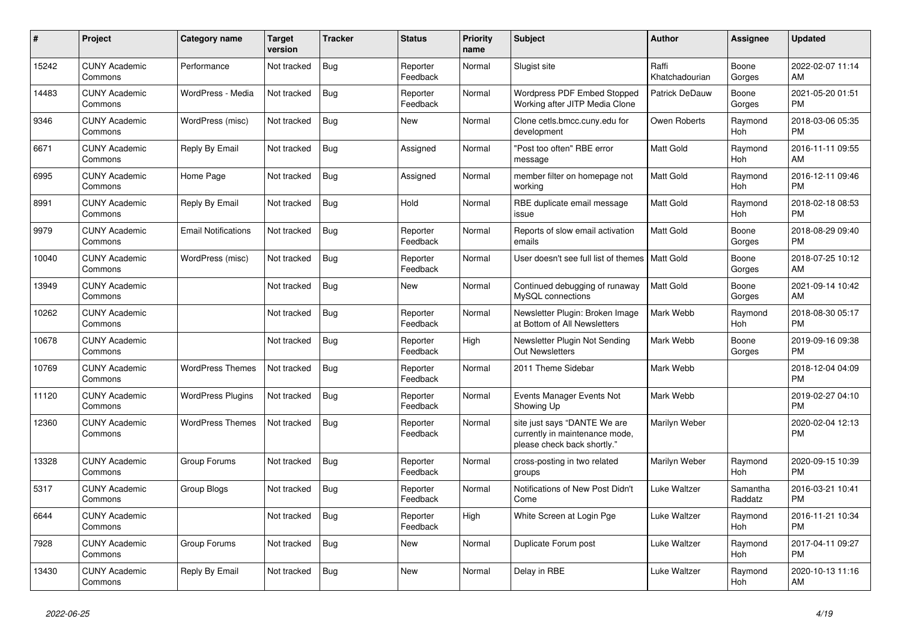| #     | Project                         | Category name              | <b>Target</b><br>version | <b>Tracker</b> | <b>Status</b>        | <b>Priority</b><br>name | <b>Subject</b>                                                                                | <b>Author</b>           | <b>Assignee</b>       | <b>Updated</b>                |
|-------|---------------------------------|----------------------------|--------------------------|----------------|----------------------|-------------------------|-----------------------------------------------------------------------------------------------|-------------------------|-----------------------|-------------------------------|
| 15242 | <b>CUNY Academic</b><br>Commons | Performance                | Not tracked              | Bug            | Reporter<br>Feedback | Normal                  | Slugist site                                                                                  | Raffi<br>Khatchadourian | Boone<br>Gorges       | 2022-02-07 11:14<br>AM        |
| 14483 | <b>CUNY Academic</b><br>Commons | WordPress - Media          | Not tracked              | Bug            | Reporter<br>Feedback | Normal                  | <b>Wordpress PDF Embed Stopped</b><br>Working after JITP Media Clone                          | <b>Patrick DeDauw</b>   | Boone<br>Gorges       | 2021-05-20 01:51<br><b>PM</b> |
| 9346  | <b>CUNY Academic</b><br>Commons | WordPress (misc)           | Not tracked              | Bug            | New                  | Normal                  | Clone cetls.bmcc.cuny.edu for<br>development                                                  | Owen Roberts            | Raymond<br><b>Hoh</b> | 2018-03-06 05:35<br><b>PM</b> |
| 6671  | <b>CUNY Academic</b><br>Commons | Reply By Email             | Not tracked              | Bug            | Assigned             | Normal                  | "Post too often" RBE error<br>message                                                         | <b>Matt Gold</b>        | Raymond<br>Hoh        | 2016-11-11 09:55<br>AM        |
| 6995  | <b>CUNY Academic</b><br>Commons | Home Page                  | Not tracked              | <b>Bug</b>     | Assigned             | Normal                  | member filter on homepage not<br>working                                                      | <b>Matt Gold</b>        | Raymond<br>Hoh        | 2016-12-11 09:46<br><b>PM</b> |
| 8991  | <b>CUNY Academic</b><br>Commons | Reply By Email             | Not tracked              | Bug            | Hold                 | Normal                  | RBE duplicate email message<br>issue                                                          | <b>Matt Gold</b>        | Raymond<br>Hoh        | 2018-02-18 08:53<br><b>PM</b> |
| 9979  | <b>CUNY Academic</b><br>Commons | <b>Email Notifications</b> | Not tracked              | Bug            | Reporter<br>Feedback | Normal                  | Reports of slow email activation<br>emails                                                    | <b>Matt Gold</b>        | Boone<br>Gorges       | 2018-08-29 09:40<br><b>PM</b> |
| 10040 | <b>CUNY Academic</b><br>Commons | WordPress (misc)           | Not tracked              | Bug            | Reporter<br>Feedback | Normal                  | User doesn't see full list of themes I Matt Gold                                              |                         | Boone<br>Gorges       | 2018-07-25 10:12<br>AM        |
| 13949 | <b>CUNY Academic</b><br>Commons |                            | Not tracked              | Bug            | <b>New</b>           | Normal                  | Continued debugging of runaway<br>MySQL connections                                           | <b>Matt Gold</b>        | Boone<br>Gorges       | 2021-09-14 10:42<br>AM        |
| 10262 | <b>CUNY Academic</b><br>Commons |                            | Not tracked              | Bug            | Reporter<br>Feedback | Normal                  | Newsletter Plugin: Broken Image<br>at Bottom of All Newsletters                               | Mark Webb               | Raymond<br><b>Hoh</b> | 2018-08-30 05:17<br><b>PM</b> |
| 10678 | <b>CUNY Academic</b><br>Commons |                            | Not tracked              | Bug            | Reporter<br>Feedback | High                    | Newsletter Plugin Not Sending<br><b>Out Newsletters</b>                                       | Mark Webb               | Boone<br>Gorges       | 2019-09-16 09:38<br><b>PM</b> |
| 10769 | <b>CUNY Academic</b><br>Commons | <b>WordPress Themes</b>    | Not tracked              | <b>Bug</b>     | Reporter<br>Feedback | Normal                  | 2011 Theme Sidebar                                                                            | Mark Webb               |                       | 2018-12-04 04:09<br><b>PM</b> |
| 11120 | <b>CUNY Academic</b><br>Commons | <b>WordPress Plugins</b>   | Not tracked              | Bug            | Reporter<br>Feedback | Normal                  | Events Manager Events Not<br>Showing Up                                                       | Mark Webb               |                       | 2019-02-27 04:10<br><b>PM</b> |
| 12360 | <b>CUNY Academic</b><br>Commons | <b>WordPress Themes</b>    | Not tracked              | Bug            | Reporter<br>Feedback | Normal                  | site just says "DANTE We are<br>currently in maintenance mode,<br>please check back shortly." | Marilyn Weber           |                       | 2020-02-04 12:13<br><b>PM</b> |
| 13328 | <b>CUNY Academic</b><br>Commons | Group Forums               | Not tracked              | <b>Bug</b>     | Reporter<br>Feedback | Normal                  | cross-posting in two related<br>groups                                                        | Marilyn Weber           | Raymond<br>Hoh        | 2020-09-15 10:39<br><b>PM</b> |
| 5317  | <b>CUNY Academic</b><br>Commons | Group Blogs                | Not tracked              | <b>Bug</b>     | Reporter<br>Feedback | Normal                  | Notifications of New Post Didn't<br>Come                                                      | Luke Waltzer            | Samantha<br>Raddatz   | 2016-03-21 10:41<br><b>PM</b> |
| 6644  | <b>CUNY Academic</b><br>Commons |                            | Not tracked              | Bug            | Reporter<br>Feedback | High                    | White Screen at Login Pge                                                                     | Luke Waltzer            | Raymond<br>Hoh        | 2016-11-21 10:34<br><b>PM</b> |
| 7928  | <b>CUNY Academic</b><br>Commons | Group Forums               | Not tracked              | <b>Bug</b>     | <b>New</b>           | Normal                  | Duplicate Forum post                                                                          | Luke Waltzer            | Raymond<br>Hoh        | 2017-04-11 09:27<br><b>PM</b> |
| 13430 | <b>CUNY Academic</b><br>Commons | Reply By Email             | Not tracked              | <b>Bug</b>     | <b>New</b>           | Normal                  | Delay in RBE                                                                                  | Luke Waltzer            | Raymond<br>Hoh        | 2020-10-13 11:16<br>AM        |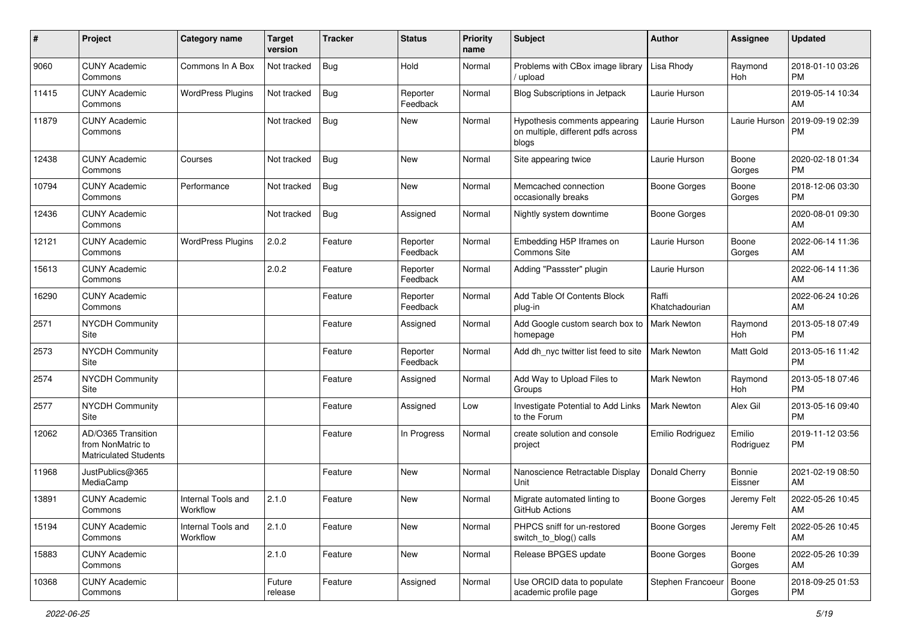| #     | Project                                                                 | <b>Category name</b>           | <b>Target</b><br>version | <b>Tracker</b> | <b>Status</b>        | <b>Priority</b><br>name | Subject                                                                      | Author                  | <b>Assignee</b>     | <b>Updated</b>                |
|-------|-------------------------------------------------------------------------|--------------------------------|--------------------------|----------------|----------------------|-------------------------|------------------------------------------------------------------------------|-------------------------|---------------------|-------------------------------|
| 9060  | <b>CUNY Academic</b><br>Commons                                         | Commons In A Box               | Not tracked              | Bug            | Hold                 | Normal                  | Problems with CBox image library<br>upload                                   | Lisa Rhody              | Raymond<br>Hoh      | 2018-01-10 03:26<br><b>PM</b> |
| 11415 | <b>CUNY Academic</b><br>Commons                                         | <b>WordPress Plugins</b>       | Not tracked              | Bug            | Reporter<br>Feedback | Normal                  | <b>Blog Subscriptions in Jetpack</b>                                         | Laurie Hurson           |                     | 2019-05-14 10:34<br>AM        |
| 11879 | <b>CUNY Academic</b><br>Commons                                         |                                | Not tracked              | Bug            | New                  | Normal                  | Hypothesis comments appearing<br>on multiple, different pdfs across<br>blogs | Laurie Hurson           | Laurie Hurson       | 2019-09-19 02:39<br><b>PM</b> |
| 12438 | <b>CUNY Academic</b><br>Commons                                         | Courses                        | Not tracked              | Bug            | <b>New</b>           | Normal                  | Site appearing twice                                                         | Laurie Hurson           | Boone<br>Gorges     | 2020-02-18 01:34<br><b>PM</b> |
| 10794 | <b>CUNY Academic</b><br>Commons                                         | Performance                    | Not tracked              | Bug            | New                  | Normal                  | Memcached connection<br>occasionally breaks                                  | <b>Boone Gorges</b>     | Boone<br>Gorges     | 2018-12-06 03:30<br><b>PM</b> |
| 12436 | <b>CUNY Academic</b><br>Commons                                         |                                | Not tracked              | Bug            | Assigned             | Normal                  | Nightly system downtime                                                      | Boone Gorges            |                     | 2020-08-01 09:30<br>AM        |
| 12121 | <b>CUNY Academic</b><br>Commons                                         | <b>WordPress Plugins</b>       | 2.0.2                    | Feature        | Reporter<br>Feedback | Normal                  | Embedding H5P Iframes on<br>Commons Site                                     | Laurie Hurson           | Boone<br>Gorges     | 2022-06-14 11:36<br>AM        |
| 15613 | <b>CUNY Academic</b><br>Commons                                         |                                | 2.0.2                    | Feature        | Reporter<br>Feedback | Normal                  | Adding "Passster" plugin                                                     | Laurie Hurson           |                     | 2022-06-14 11:36<br>AM        |
| 16290 | <b>CUNY Academic</b><br>Commons                                         |                                |                          | Feature        | Reporter<br>Feedback | Normal                  | Add Table Of Contents Block<br>plug-in                                       | Raffi<br>Khatchadourian |                     | 2022-06-24 10:26<br>AM        |
| 2571  | <b>NYCDH Community</b><br>Site                                          |                                |                          | Feature        | Assigned             | Normal                  | Add Google custom search box to   Mark Newton<br>homepage                    |                         | Raymond<br>Hoh      | 2013-05-18 07:49<br><b>PM</b> |
| 2573  | <b>NYCDH Community</b><br>Site                                          |                                |                          | Feature        | Reporter<br>Feedback | Normal                  | Add dh_nyc twitter list feed to site                                         | <b>Mark Newton</b>      | Matt Gold           | 2013-05-16 11:42<br><b>PM</b> |
| 2574  | NYCDH Community<br>Site                                                 |                                |                          | Feature        | Assigned             | Normal                  | Add Way to Upload Files to<br>Groups                                         | <b>Mark Newton</b>      | Raymond<br>Hoh      | 2013-05-18 07:46<br><b>PM</b> |
| 2577  | <b>NYCDH Community</b><br>Site                                          |                                |                          | Feature        | Assigned             | Low                     | Investigate Potential to Add Links<br>to the Forum                           | <b>Mark Newton</b>      | Alex Gil            | 2013-05-16 09:40<br><b>PM</b> |
| 12062 | AD/O365 Transition<br>from NonMatric to<br><b>Matriculated Students</b> |                                |                          | Feature        | In Progress          | Normal                  | create solution and console<br>project                                       | Emilio Rodriguez        | Emilio<br>Rodriguez | 2019-11-12 03:56<br><b>PM</b> |
| 11968 | JustPublics@365<br>MediaCamp                                            |                                |                          | Feature        | New                  | Normal                  | Nanoscience Retractable Display<br>Unit                                      | Donald Cherry           | Bonnie<br>Eissner   | 2021-02-19 08:50<br>AM        |
| 13891 | <b>CUNY Academic</b><br>Commons                                         | Internal Tools and<br>Workflow | 2.1.0                    | Feature        | New                  | Normal                  | Migrate automated linting to<br>GitHub Actions                               | <b>Boone Gorges</b>     | Jeremy Felt         | 2022-05-26 10:45<br>AM        |
| 15194 | <b>CUNY Academic</b><br>Commons                                         | Internal Tools and<br>Workflow | 2.1.0                    | Feature        | New                  | Normal                  | PHPCS sniff for un-restored<br>switch_to_blog() calls                        | Boone Gorges            | Jeremy Felt         | 2022-05-26 10:45<br>AM        |
| 15883 | <b>CUNY Academic</b><br>Commons                                         |                                | 2.1.0                    | Feature        | New                  | Normal                  | Release BPGES update                                                         | Boone Gorges            | Boone<br>Gorges     | 2022-05-26 10:39<br>AM        |
| 10368 | <b>CUNY Academic</b><br>Commons                                         |                                | Future<br>release        | Feature        | Assigned             | Normal                  | Use ORCID data to populate<br>academic profile page                          | Stephen Francoeur       | Boone<br>Gorges     | 2018-09-25 01:53<br><b>PM</b> |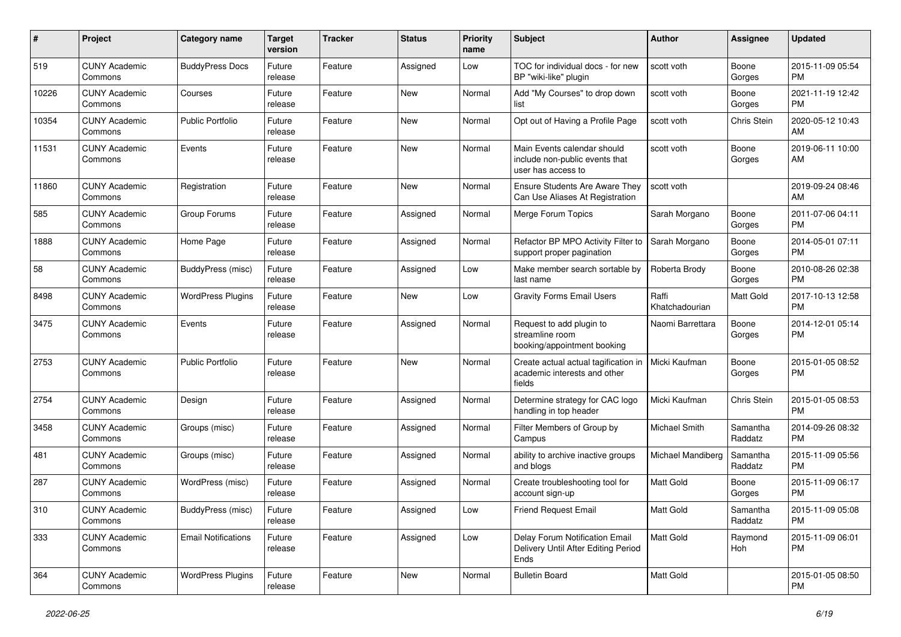| #     | Project                         | <b>Category name</b>       | <b>Target</b><br>version | <b>Tracker</b> | <b>Status</b> | <b>Priority</b><br>name | <b>Subject</b>                                                                      | Author                  | Assignee            | <b>Updated</b>                |
|-------|---------------------------------|----------------------------|--------------------------|----------------|---------------|-------------------------|-------------------------------------------------------------------------------------|-------------------------|---------------------|-------------------------------|
| 519   | <b>CUNY Academic</b><br>Commons | <b>BuddyPress Docs</b>     | Future<br>release        | Feature        | Assigned      | Low                     | TOC for individual docs - for new<br>BP "wiki-like" plugin                          | scott voth              | Boone<br>Gorges     | 2015-11-09 05:54<br><b>PM</b> |
| 10226 | <b>CUNY Academic</b><br>Commons | Courses                    | Future<br>release        | Feature        | New           | Normal                  | Add "My Courses" to drop down<br>list                                               | scott voth              | Boone<br>Gorges     | 2021-11-19 12:42<br><b>PM</b> |
| 10354 | <b>CUNY Academic</b><br>Commons | <b>Public Portfolio</b>    | Future<br>release        | Feature        | New           | Normal                  | Opt out of Having a Profile Page                                                    | scott voth              | Chris Stein         | 2020-05-12 10:43<br>AM        |
| 11531 | <b>CUNY Academic</b><br>Commons | Events                     | Future<br>release        | Feature        | New           | Normal                  | Main Events calendar should<br>include non-public events that<br>user has access to | scott voth              | Boone<br>Gorges     | 2019-06-11 10:00<br>AM        |
| 11860 | <b>CUNY Academic</b><br>Commons | Registration               | Future<br>release        | Feature        | New           | Normal                  | <b>Ensure Students Are Aware They</b><br>Can Use Aliases At Registration            | scott voth              |                     | 2019-09-24 08:46<br>AM        |
| 585   | <b>CUNY Academic</b><br>Commons | Group Forums               | Future<br>release        | Feature        | Assigned      | Normal                  | Merge Forum Topics                                                                  | Sarah Morgano           | Boone<br>Gorges     | 2011-07-06 04:11<br><b>PM</b> |
| 1888  | <b>CUNY Academic</b><br>Commons | Home Page                  | Future<br>release        | Feature        | Assigned      | Normal                  | Refactor BP MPO Activity Filter to<br>support proper pagination                     | Sarah Morgano           | Boone<br>Gorges     | 2014-05-01 07:11<br><b>PM</b> |
| 58    | <b>CUNY Academic</b><br>Commons | BuddyPress (misc)          | Future<br>release        | Feature        | Assigned      | Low                     | Make member search sortable by<br>last name                                         | Roberta Brody           | Boone<br>Gorges     | 2010-08-26 02:38<br><b>PM</b> |
| 8498  | <b>CUNY Academic</b><br>Commons | <b>WordPress Plugins</b>   | Future<br>release        | Feature        | New           | Low                     | <b>Gravity Forms Email Users</b>                                                    | Raffi<br>Khatchadourian | Matt Gold           | 2017-10-13 12:58<br><b>PM</b> |
| 3475  | <b>CUNY Academic</b><br>Commons | Events                     | Future<br>release        | Feature        | Assigned      | Normal                  | Request to add plugin to<br>streamline room<br>booking/appointment booking          | Naomi Barrettara        | Boone<br>Gorges     | 2014-12-01 05:14<br><b>PM</b> |
| 2753  | <b>CUNY Academic</b><br>Commons | <b>Public Portfolio</b>    | Future<br>release        | Feature        | New           | Normal                  | Create actual actual tagification in<br>academic interests and other<br>fields      | Micki Kaufman           | Boone<br>Gorges     | 2015-01-05 08:52<br><b>PM</b> |
| 2754  | <b>CUNY Academic</b><br>Commons | Design                     | Future<br>release        | Feature        | Assigned      | Normal                  | Determine strategy for CAC logo<br>handling in top header                           | Micki Kaufman           | Chris Stein         | 2015-01-05 08:53<br><b>PM</b> |
| 3458  | <b>CUNY Academic</b><br>Commons | Groups (misc)              | Future<br>release        | Feature        | Assigned      | Normal                  | Filter Members of Group by<br>Campus                                                | Michael Smith           | Samantha<br>Raddatz | 2014-09-26 08:32<br><b>PM</b> |
| 481   | <b>CUNY Academic</b><br>Commons | Groups (misc)              | Future<br>release        | Feature        | Assigned      | Normal                  | ability to archive inactive groups<br>and blogs                                     | Michael Mandiberg       | Samantha<br>Raddatz | 2015-11-09 05:56<br><b>PM</b> |
| 287   | <b>CUNY Academic</b><br>Commons | WordPress (misc)           | Future<br>release        | Feature        | Assigned      | Normal                  | Create troubleshooting tool for<br>account sign-up                                  | Matt Gold               | Boone<br>Gorges     | 2015-11-09 06:17<br>PM        |
| 310   | <b>CUNY Academic</b><br>Commons | BuddyPress (misc)          | Future<br>release        | Feature        | Assigned      | Low                     | Friend Request Email                                                                | Matt Gold               | Samantha<br>Raddatz | 2015-11-09 05:08<br><b>PM</b> |
| 333   | <b>CUNY Academic</b><br>Commons | <b>Email Notifications</b> | Future<br>release        | Feature        | Assigned      | Low                     | Delay Forum Notification Email<br>Delivery Until After Editing Period<br>Ends       | Matt Gold               | Raymond<br>Hoh      | 2015-11-09 06:01<br><b>PM</b> |
| 364   | <b>CUNY Academic</b><br>Commons | <b>WordPress Plugins</b>   | Future<br>release        | Feature        | New           | Normal                  | <b>Bulletin Board</b>                                                               | Matt Gold               |                     | 2015-01-05 08:50<br><b>PM</b> |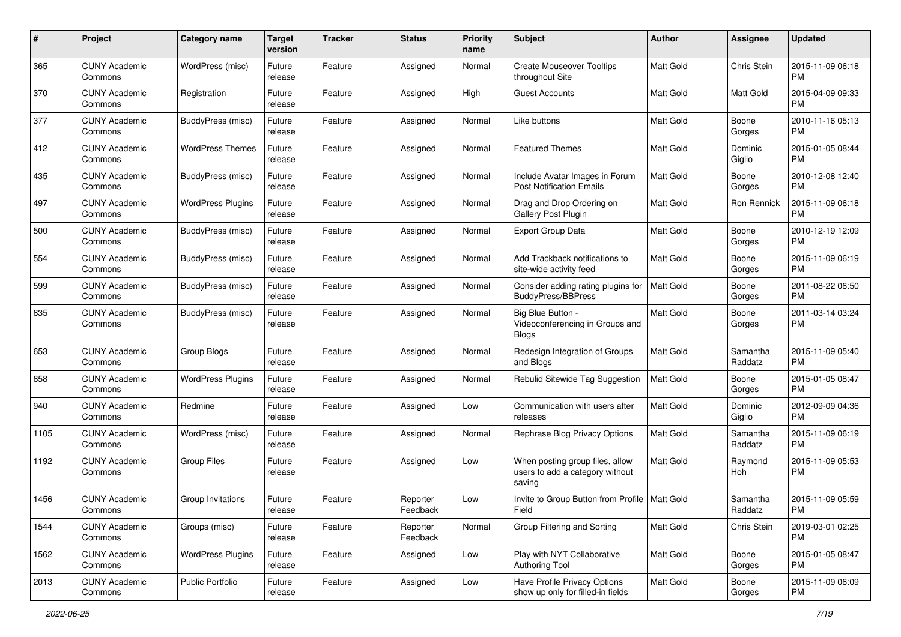| #    | Project                         | <b>Category name</b>     | <b>Target</b><br>version | <b>Tracker</b> | <b>Status</b>        | <b>Priority</b><br>name | Subject                                                                      | Author           | <b>Assignee</b>     | <b>Updated</b>                |
|------|---------------------------------|--------------------------|--------------------------|----------------|----------------------|-------------------------|------------------------------------------------------------------------------|------------------|---------------------|-------------------------------|
| 365  | <b>CUNY Academic</b><br>Commons | WordPress (misc)         | Future<br>release        | Feature        | Assigned             | Normal                  | <b>Create Mouseover Tooltips</b><br>throughout Site                          | <b>Matt Gold</b> | Chris Stein         | 2015-11-09 06:18<br><b>PM</b> |
| 370  | <b>CUNY Academic</b><br>Commons | Registration             | Future<br>release        | Feature        | Assigned             | High                    | <b>Guest Accounts</b>                                                        | Matt Gold        | Matt Gold           | 2015-04-09 09:33<br><b>PM</b> |
| 377  | CUNY Academic<br>Commons        | BuddyPress (misc)        | Future<br>release        | Feature        | Assigned             | Normal                  | Like buttons                                                                 | Matt Gold        | Boone<br>Gorges     | 2010-11-16 05:13<br><b>PM</b> |
| 412  | <b>CUNY Academic</b><br>Commons | <b>WordPress Themes</b>  | Future<br>release        | Feature        | Assigned             | Normal                  | <b>Featured Themes</b>                                                       | <b>Matt Gold</b> | Dominic<br>Giglio   | 2015-01-05 08:44<br><b>PM</b> |
| 435  | CUNY Academic<br>Commons        | BuddyPress (misc)        | Future<br>release        | Feature        | Assigned             | Normal                  | Include Avatar Images in Forum<br><b>Post Notification Emails</b>            | Matt Gold        | Boone<br>Gorges     | 2010-12-08 12:40<br><b>PM</b> |
| 497  | <b>CUNY Academic</b><br>Commons | <b>WordPress Plugins</b> | Future<br>release        | Feature        | Assigned             | Normal                  | Drag and Drop Ordering on<br>Gallery Post Plugin                             | Matt Gold        | Ron Rennick         | 2015-11-09 06:18<br><b>PM</b> |
| 500  | <b>CUNY Academic</b><br>Commons | BuddyPress (misc)        | Future<br>release        | Feature        | Assigned             | Normal                  | <b>Export Group Data</b>                                                     | Matt Gold        | Boone<br>Gorges     | 2010-12-19 12:09<br><b>PM</b> |
| 554  | <b>CUNY Academic</b><br>Commons | BuddyPress (misc)        | Future<br>release        | Feature        | Assigned             | Normal                  | Add Trackback notifications to<br>site-wide activity feed                    | <b>Matt Gold</b> | Boone<br>Gorges     | 2015-11-09 06:19<br><b>PM</b> |
| 599  | <b>CUNY Academic</b><br>Commons | BuddyPress (misc)        | Future<br>release        | Feature        | Assigned             | Normal                  | Consider adding rating plugins for<br><b>BuddyPress/BBPress</b>              | <b>Matt Gold</b> | Boone<br>Gorges     | 2011-08-22 06:50<br><b>PM</b> |
| 635  | <b>CUNY Academic</b><br>Commons | BuddyPress (misc)        | Future<br>release        | Feature        | Assigned             | Normal                  | Big Blue Button -<br>Videoconferencing in Groups and<br><b>Blogs</b>         | <b>Matt Gold</b> | Boone<br>Gorges     | 2011-03-14 03:24<br><b>PM</b> |
| 653  | <b>CUNY Academic</b><br>Commons | Group Blogs              | Future<br>release        | Feature        | Assigned             | Normal                  | Redesign Integration of Groups<br>and Blogs                                  | Matt Gold        | Samantha<br>Raddatz | 2015-11-09 05:40<br><b>PM</b> |
| 658  | <b>CUNY Academic</b><br>Commons | <b>WordPress Plugins</b> | Future<br>release        | Feature        | Assigned             | Normal                  | Rebulid Sitewide Tag Suggestion                                              | Matt Gold        | Boone<br>Gorges     | 2015-01-05 08:47<br><b>PM</b> |
| 940  | <b>CUNY Academic</b><br>Commons | Redmine                  | Future<br>release        | Feature        | Assigned             | Low                     | Communication with users after<br>releases                                   | <b>Matt Gold</b> | Dominic<br>Giglio   | 2012-09-09 04:36<br><b>PM</b> |
| 1105 | <b>CUNY Academic</b><br>Commons | WordPress (misc)         | Future<br>release        | Feature        | Assigned             | Normal                  | Rephrase Blog Privacy Options                                                | Matt Gold        | Samantha<br>Raddatz | 2015-11-09 06:19<br><b>PM</b> |
| 1192 | CUNY Academic<br>Commons        | <b>Group Files</b>       | Future<br>release        | Feature        | Assigned             | Low                     | When posting group files, allow<br>users to add a category without<br>saving | Matt Gold        | Raymond<br>Hoh      | 2015-11-09 05:53<br><b>PM</b> |
| 1456 | CUNY Academic<br>Commons        | Group Invitations        | Future<br>release        | Feature        | Reporter<br>Feedback | Low                     | Invite to Group Button from Profile   Matt Gold<br>Field                     |                  | Samantha<br>Raddatz | 2015-11-09 05:59<br><b>PM</b> |
| 1544 | <b>CUNY Academic</b><br>Commons | Groups (misc)            | Future<br>release        | Feature        | Reporter<br>Feedback | Normal                  | Group Filtering and Sorting                                                  | Matt Gold        | Chris Stein         | 2019-03-01 02:25<br><b>PM</b> |
| 1562 | <b>CUNY Academic</b><br>Commons | <b>WordPress Plugins</b> | Future<br>release        | Feature        | Assigned             | Low                     | Play with NYT Collaborative<br><b>Authoring Tool</b>                         | Matt Gold        | Boone<br>Gorges     | 2015-01-05 08:47<br>PM        |
| 2013 | <b>CUNY Academic</b><br>Commons | Public Portfolio         | Future<br>release        | Feature        | Assigned             | Low                     | Have Profile Privacy Options<br>show up only for filled-in fields            | Matt Gold        | Boone<br>Gorges     | 2015-11-09 06:09<br><b>PM</b> |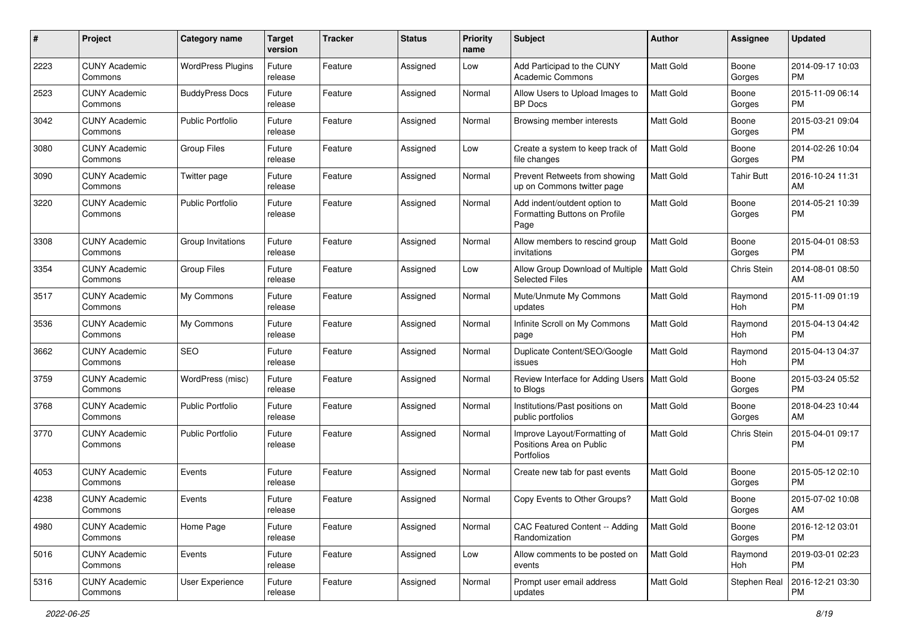| #    | Project                         | <b>Category name</b>     | <b>Target</b><br>version | <b>Tracker</b> | <b>Status</b> | <b>Priority</b><br>name | Subject                                                                | Author           | <b>Assignee</b>   | <b>Updated</b>                |
|------|---------------------------------|--------------------------|--------------------------|----------------|---------------|-------------------------|------------------------------------------------------------------------|------------------|-------------------|-------------------------------|
| 2223 | <b>CUNY Academic</b><br>Commons | <b>WordPress Plugins</b> | Future<br>release        | Feature        | Assigned      | Low                     | Add Participad to the CUNY<br><b>Academic Commons</b>                  | <b>Matt Gold</b> | Boone<br>Gorges   | 2014-09-17 10:03<br><b>PM</b> |
| 2523 | <b>CUNY Academic</b><br>Commons | <b>BuddyPress Docs</b>   | Future<br>release        | Feature        | Assigned      | Normal                  | Allow Users to Upload Images to<br><b>BP</b> Docs                      | Matt Gold        | Boone<br>Gorges   | 2015-11-09 06:14<br><b>PM</b> |
| 3042 | <b>CUNY Academic</b><br>Commons | <b>Public Portfolio</b>  | Future<br>release        | Feature        | Assigned      | Normal                  | Browsing member interests                                              | Matt Gold        | Boone<br>Gorges   | 2015-03-21 09:04<br><b>PM</b> |
| 3080 | <b>CUNY Academic</b><br>Commons | <b>Group Files</b>       | Future<br>release        | Feature        | Assigned      | Low                     | Create a system to keep track of<br>file changes                       | <b>Matt Gold</b> | Boone<br>Gorges   | 2014-02-26 10:04<br><b>PM</b> |
| 3090 | <b>CUNY Academic</b><br>Commons | Twitter page             | Future<br>release        | Feature        | Assigned      | Normal                  | Prevent Retweets from showing<br>up on Commons twitter page            | <b>Matt Gold</b> | <b>Tahir Butt</b> | 2016-10-24 11:31<br>AM        |
| 3220 | <b>CUNY Academic</b><br>Commons | <b>Public Portfolio</b>  | Future<br>release        | Feature        | Assigned      | Normal                  | Add indent/outdent option to<br>Formatting Buttons on Profile<br>Page  | Matt Gold        | Boone<br>Gorges   | 2014-05-21 10:39<br>PM        |
| 3308 | <b>CUNY Academic</b><br>Commons | Group Invitations        | Future<br>release        | Feature        | Assigned      | Normal                  | Allow members to rescind group<br>invitations                          | <b>Matt Gold</b> | Boone<br>Gorges   | 2015-04-01 08:53<br>PM        |
| 3354 | <b>CUNY Academic</b><br>Commons | <b>Group Files</b>       | Future<br>release        | Feature        | Assigned      | Low                     | Allow Group Download of Multiple<br><b>Selected Files</b>              | <b>Matt Gold</b> | Chris Stein       | 2014-08-01 08:50<br>AM        |
| 3517 | <b>CUNY Academic</b><br>Commons | My Commons               | Future<br>release        | Feature        | Assigned      | Normal                  | Mute/Unmute My Commons<br>updates                                      | <b>Matt Gold</b> | Raymond<br>Hoh    | 2015-11-09 01:19<br><b>PM</b> |
| 3536 | <b>CUNY Academic</b><br>Commons | My Commons               | Future<br>release        | Feature        | Assigned      | Normal                  | Infinite Scroll on My Commons<br>page                                  | <b>Matt Gold</b> | Raymond<br>Hoh    | 2015-04-13 04:42<br><b>PM</b> |
| 3662 | <b>CUNY Academic</b><br>Commons | <b>SEO</b>               | Future<br>release        | Feature        | Assigned      | Normal                  | Duplicate Content/SEO/Google<br>issues                                 | Matt Gold        | Raymond<br>Hoh    | 2015-04-13 04:37<br><b>PM</b> |
| 3759 | <b>CUNY Academic</b><br>Commons | WordPress (misc)         | Future<br>release        | Feature        | Assigned      | Normal                  | Review Interface for Adding Users   Matt Gold<br>to Blogs              |                  | Boone<br>Gorges   | 2015-03-24 05:52<br><b>PM</b> |
| 3768 | <b>CUNY Academic</b><br>Commons | <b>Public Portfolio</b>  | Future<br>release        | Feature        | Assigned      | Normal                  | Institutions/Past positions on<br>public portfolios                    | <b>Matt Gold</b> | Boone<br>Gorges   | 2018-04-23 10:44<br>AM        |
| 3770 | <b>CUNY Academic</b><br>Commons | <b>Public Portfolio</b>  | Future<br>release        | Feature        | Assigned      | Normal                  | Improve Layout/Formatting of<br>Positions Area on Public<br>Portfolios | <b>Matt Gold</b> | Chris Stein       | 2015-04-01 09:17<br><b>PM</b> |
| 4053 | <b>CUNY Academic</b><br>Commons | Events                   | Future<br>release        | Feature        | Assigned      | Normal                  | Create new tab for past events                                         | Matt Gold        | Boone<br>Gorges   | 2015-05-12 02:10<br><b>PM</b> |
| 4238 | <b>CUNY Academic</b><br>Commons | Events                   | Future<br>release        | Feature        | Assigned      | Normal                  | Copy Events to Other Groups?                                           | Matt Gold        | Boone<br>Gorges   | 2015-07-02 10:08<br>AM        |
| 4980 | <b>CUNY Academic</b><br>Commons | Home Page                | Future<br>release        | Feature        | Assigned      | Normal                  | CAC Featured Content -- Adding<br>Randomization                        | Matt Gold        | Boone<br>Gorges   | 2016-12-12 03:01<br>PM        |
| 5016 | <b>CUNY Academic</b><br>Commons | Events                   | Future<br>release        | Feature        | Assigned      | Low                     | Allow comments to be posted on<br>events                               | Matt Gold        | Raymond<br>Hoh    | 2019-03-01 02:23<br>PM        |
| 5316 | <b>CUNY Academic</b><br>Commons | User Experience          | Future<br>release        | Feature        | Assigned      | Normal                  | Prompt user email address<br>updates                                   | Matt Gold        | Stephen Real      | 2016-12-21 03:30<br>PM        |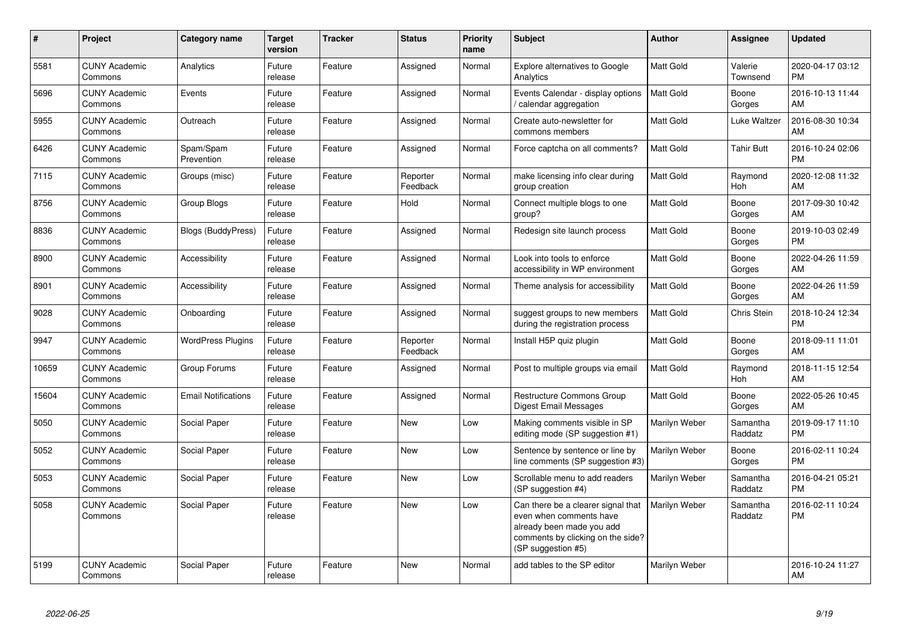| $\#$  | <b>Project</b>                  | Category name              | <b>Target</b><br>version | <b>Tracker</b> | <b>Status</b>        | <b>Priority</b><br>name | <b>Subject</b>                                                                                                                                        | Author           | <b>Assignee</b>       | <b>Updated</b>                |
|-------|---------------------------------|----------------------------|--------------------------|----------------|----------------------|-------------------------|-------------------------------------------------------------------------------------------------------------------------------------------------------|------------------|-----------------------|-------------------------------|
| 5581  | <b>CUNY Academic</b><br>Commons | Analytics                  | Future<br>release        | Feature        | Assigned             | Normal                  | Explore alternatives to Google<br>Analytics                                                                                                           | Matt Gold        | Valerie<br>Townsend   | 2020-04-17 03:12<br><b>PM</b> |
| 5696  | <b>CUNY Academic</b><br>Commons | Events                     | Future<br>release        | Feature        | Assigned             | Normal                  | Events Calendar - display options<br>calendar aggregation                                                                                             | Matt Gold        | Boone<br>Gorges       | 2016-10-13 11:44<br>AM        |
| 5955  | <b>CUNY Academic</b><br>Commons | Outreach                   | Future<br>release        | Feature        | Assigned             | Normal                  | Create auto-newsletter for<br>commons members                                                                                                         | Matt Gold        | Luke Waltzer          | 2016-08-30 10:34<br>AM        |
| 6426  | <b>CUNY Academic</b><br>Commons | Spam/Spam<br>Prevention    | Future<br>release        | Feature        | Assigned             | Normal                  | Force captcha on all comments?                                                                                                                        | Matt Gold        | <b>Tahir Butt</b>     | 2016-10-24 02:06<br><b>PM</b> |
| 7115  | <b>CUNY Academic</b><br>Commons | Groups (misc)              | Future<br>release        | Feature        | Reporter<br>Feedback | Normal                  | make licensing info clear during<br>group creation                                                                                                    | <b>Matt Gold</b> | Raymond<br><b>Hoh</b> | 2020-12-08 11:32<br>AM        |
| 8756  | <b>CUNY Academic</b><br>Commons | Group Blogs                | Future<br>release        | Feature        | Hold                 | Normal                  | Connect multiple blogs to one<br>group?                                                                                                               | Matt Gold        | Boone<br>Gorges       | 2017-09-30 10:42<br>AM        |
| 8836  | <b>CUNY Academic</b><br>Commons | <b>Blogs (BuddyPress)</b>  | Future<br>release        | Feature        | Assigned             | Normal                  | Redesign site launch process                                                                                                                          | Matt Gold        | Boone<br>Gorges       | 2019-10-03 02:49<br><b>PM</b> |
| 8900  | <b>CUNY Academic</b><br>Commons | Accessibility              | Future<br>release        | Feature        | Assigned             | Normal                  | Look into tools to enforce<br>accessibility in WP environment                                                                                         | <b>Matt Gold</b> | Boone<br>Gorges       | 2022-04-26 11:59<br>AM        |
| 8901  | <b>CUNY Academic</b><br>Commons | Accessibility              | Future<br>release        | Feature        | Assigned             | Normal                  | Theme analysis for accessibility                                                                                                                      | Matt Gold        | Boone<br>Gorges       | 2022-04-26 11:59<br>AM        |
| 9028  | <b>CUNY Academic</b><br>Commons | Onboarding                 | Future<br>release        | Feature        | Assigned             | Normal                  | suggest groups to new members<br>during the registration process                                                                                      | <b>Matt Gold</b> | Chris Stein           | 2018-10-24 12:34<br><b>PM</b> |
| 9947  | <b>CUNY Academic</b><br>Commons | <b>WordPress Plugins</b>   | Future<br>release        | Feature        | Reporter<br>Feedback | Normal                  | Install H5P quiz plugin                                                                                                                               | Matt Gold        | Boone<br>Gorges       | 2018-09-11 11:01<br>AM        |
| 10659 | <b>CUNY Academic</b><br>Commons | Group Forums               | Future<br>release        | Feature        | Assigned             | Normal                  | Post to multiple groups via email                                                                                                                     | Matt Gold        | Raymond<br>Hoh        | 2018-11-15 12:54<br>AM        |
| 15604 | <b>CUNY Academic</b><br>Commons | <b>Email Notifications</b> | Future<br>release        | Feature        | Assigned             | Normal                  | Restructure Commons Group<br><b>Digest Email Messages</b>                                                                                             | Matt Gold        | Boone<br>Gorges       | 2022-05-26 10:45<br>AM        |
| 5050  | <b>CUNY Academic</b><br>Commons | Social Paper               | Future<br>release        | Feature        | <b>New</b>           | Low                     | Making comments visible in SP<br>editing mode (SP suggestion #1)                                                                                      | Marilyn Weber    | Samantha<br>Raddatz   | 2019-09-17 11:10<br><b>PM</b> |
| 5052  | <b>CUNY Academic</b><br>Commons | Social Paper               | Future<br>release        | Feature        | <b>New</b>           | Low                     | Sentence by sentence or line by<br>line comments (SP suggestion #3)                                                                                   | Marilyn Weber    | Boone<br>Gorges       | 2016-02-11 10:24<br><b>PM</b> |
| 5053  | <b>CUNY Academic</b><br>Commons | Social Paper               | Future<br>release        | Feature        | New                  | Low                     | Scrollable menu to add readers<br>(SP suggestion #4)                                                                                                  | Marilyn Weber    | Samantha<br>Raddatz   | 2016-04-21 05:21<br><b>PM</b> |
| 5058  | <b>CUNY Academic</b><br>Commons | Social Paper               | Future<br>release        | Feature        | <b>New</b>           | Low                     | Can there be a clearer signal that<br>even when comments have<br>already been made you add<br>comments by clicking on the side?<br>(SP suggestion #5) | Marilyn Weber    | Samantha<br>Raddatz   | 2016-02-11 10:24<br><b>PM</b> |
| 5199  | <b>CUNY Academic</b><br>Commons | Social Paper               | Future<br>release        | Feature        | <b>New</b>           | Normal                  | add tables to the SP editor                                                                                                                           | Marilyn Weber    |                       | 2016-10-24 11:27<br>AM        |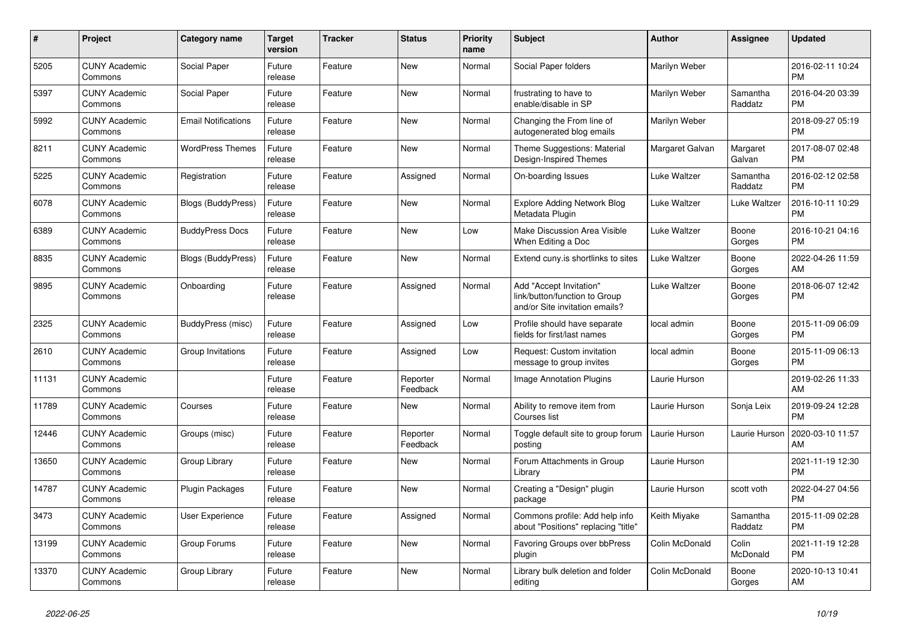| $\#$  | Project                         | <b>Category name</b>       | <b>Target</b><br>version | <b>Tracker</b> | <b>Status</b>        | <b>Priority</b><br>name | <b>Subject</b>                                                                             | <b>Author</b>   | <b>Assignee</b>     | <b>Updated</b>                |
|-------|---------------------------------|----------------------------|--------------------------|----------------|----------------------|-------------------------|--------------------------------------------------------------------------------------------|-----------------|---------------------|-------------------------------|
| 5205  | <b>CUNY Academic</b><br>Commons | Social Paper               | Future<br>release        | Feature        | <b>New</b>           | Normal                  | Social Paper folders                                                                       | Marilyn Weber   |                     | 2016-02-11 10:24<br><b>PM</b> |
| 5397  | <b>CUNY Academic</b><br>Commons | Social Paper               | Future<br>release        | Feature        | <b>New</b>           | Normal                  | frustrating to have to<br>enable/disable in SP                                             | Marilyn Weber   | Samantha<br>Raddatz | 2016-04-20 03:39<br><b>PM</b> |
| 5992  | <b>CUNY Academic</b><br>Commons | <b>Email Notifications</b> | Future<br>release        | Feature        | <b>New</b>           | Normal                  | Changing the From line of<br>autogenerated blog emails                                     | Marilyn Weber   |                     | 2018-09-27 05:19<br><b>PM</b> |
| 8211  | <b>CUNY Academic</b><br>Commons | <b>WordPress Themes</b>    | Future<br>release        | Feature        | <b>New</b>           | Normal                  | Theme Suggestions: Material<br>Design-Inspired Themes                                      | Margaret Galvan | Margaret<br>Galvan  | 2017-08-07 02:48<br><b>PM</b> |
| 5225  | <b>CUNY Academic</b><br>Commons | Registration               | Future<br>release        | Feature        | Assigned             | Normal                  | On-boarding Issues                                                                         | Luke Waltzer    | Samantha<br>Raddatz | 2016-02-12 02:58<br><b>PM</b> |
| 6078  | <b>CUNY Academic</b><br>Commons | Blogs (BuddyPress)         | Future<br>release        | Feature        | New                  | Normal                  | <b>Explore Adding Network Blog</b><br>Metadata Plugin                                      | Luke Waltzer    | Luke Waltzer        | 2016-10-11 10:29<br><b>PM</b> |
| 6389  | <b>CUNY Academic</b><br>Commons | <b>BuddyPress Docs</b>     | Future<br>release        | Feature        | <b>New</b>           | Low                     | Make Discussion Area Visible<br>When Editing a Doc                                         | Luke Waltzer    | Boone<br>Gorges     | 2016-10-21 04:16<br><b>PM</b> |
| 8835  | <b>CUNY Academic</b><br>Commons | Blogs (BuddyPress)         | Future<br>release        | Feature        | <b>New</b>           | Normal                  | Extend cuny.is shortlinks to sites                                                         | Luke Waltzer    | Boone<br>Gorges     | 2022-04-26 11:59<br>AM        |
| 9895  | <b>CUNY Academic</b><br>Commons | Onboarding                 | Future<br>release        | Feature        | Assigned             | Normal                  | Add "Accept Invitation"<br>link/button/function to Group<br>and/or Site invitation emails? | Luke Waltzer    | Boone<br>Gorges     | 2018-06-07 12:42<br><b>PM</b> |
| 2325  | <b>CUNY Academic</b><br>Commons | BuddyPress (misc)          | Future<br>release        | Feature        | Assigned             | Low                     | Profile should have separate<br>fields for first/last names                                | local admin     | Boone<br>Gorges     | 2015-11-09 06:09<br><b>PM</b> |
| 2610  | <b>CUNY Academic</b><br>Commons | Group Invitations          | Future<br>release        | Feature        | Assigned             | Low                     | Request: Custom invitation<br>message to group invites                                     | local admin     | Boone<br>Gorges     | 2015-11-09 06:13<br><b>PM</b> |
| 11131 | <b>CUNY Academic</b><br>Commons |                            | Future<br>release        | Feature        | Reporter<br>Feedback | Normal                  | Image Annotation Plugins                                                                   | Laurie Hurson   |                     | 2019-02-26 11:33<br>AM        |
| 11789 | <b>CUNY Academic</b><br>Commons | Courses                    | Future<br>release        | Feature        | <b>New</b>           | Normal                  | Ability to remove item from<br>Courses list                                                | Laurie Hurson   | Sonja Leix          | 2019-09-24 12:28<br><b>PM</b> |
| 12446 | <b>CUNY Academic</b><br>Commons | Groups (misc)              | Future<br>release        | Feature        | Reporter<br>Feedback | Normal                  | Toggle default site to group forum<br>posting                                              | Laurie Hurson   | Laurie Hurson       | 2020-03-10 11:57<br>AM        |
| 13650 | <b>CUNY Academic</b><br>Commons | Group Library              | Future<br>release        | Feature        | <b>New</b>           | Normal                  | Forum Attachments in Group<br>Library                                                      | Laurie Hurson   |                     | 2021-11-19 12:30<br><b>PM</b> |
| 14787 | <b>CUNY Academic</b><br>Commons | Plugin Packages            | Future<br>release        | Feature        | <b>New</b>           | Normal                  | Creating a "Design" plugin<br>package                                                      | Laurie Hurson   | scott voth          | 2022-04-27 04:56<br><b>PM</b> |
| 3473  | <b>CUNY Academic</b><br>Commons | <b>User Experience</b>     | Future<br>release        | Feature        | Assigned             | Normal                  | Commons profile: Add help info<br>about "Positions" replacing "title"                      | Keith Miyake    | Samantha<br>Raddatz | 2015-11-09 02:28<br><b>PM</b> |
| 13199 | <b>CUNY Academic</b><br>Commons | Group Forums               | Future<br>release        | Feature        | <b>New</b>           | Normal                  | Favoring Groups over bbPress<br>plugin                                                     | Colin McDonald  | Colin<br>McDonald   | 2021-11-19 12:28<br><b>PM</b> |
| 13370 | <b>CUNY Academic</b><br>Commons | Group Library              | Future<br>release        | Feature        | <b>New</b>           | Normal                  | Library bulk deletion and folder<br>editing                                                | Colin McDonald  | Boone<br>Gorges     | 2020-10-13 10:41<br>AM        |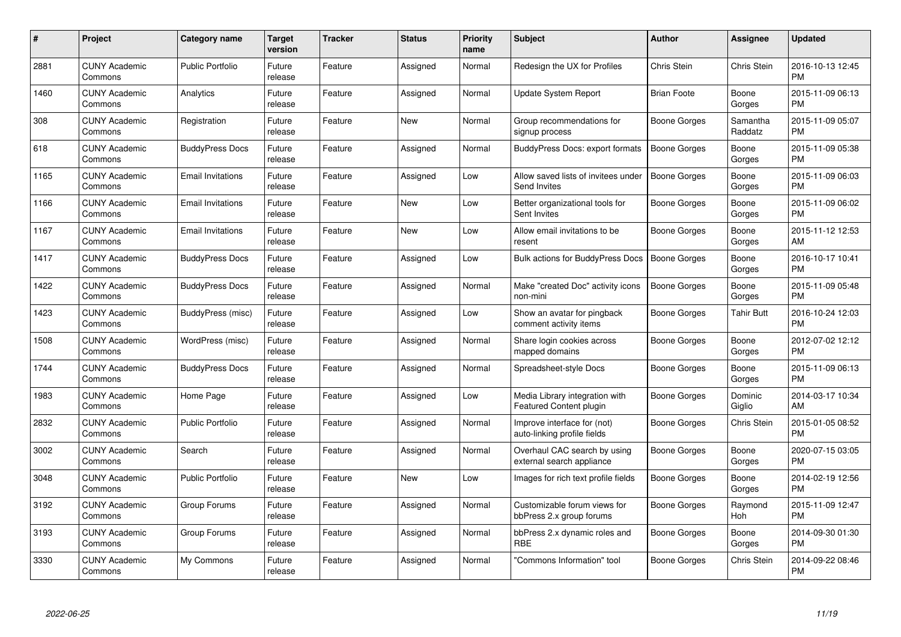| $\#$ | Project                         | <b>Category name</b>     | <b>Target</b><br>version | <b>Tracker</b> | <b>Status</b> | <b>Priority</b><br>name | <b>Subject</b>                                                   | Author              | <b>Assignee</b>       | <b>Updated</b>                |
|------|---------------------------------|--------------------------|--------------------------|----------------|---------------|-------------------------|------------------------------------------------------------------|---------------------|-----------------------|-------------------------------|
| 2881 | <b>CUNY Academic</b><br>Commons | <b>Public Portfolio</b>  | Future<br>release        | Feature        | Assigned      | Normal                  | Redesign the UX for Profiles                                     | Chris Stein         | Chris Stein           | 2016-10-13 12:45<br><b>PM</b> |
| 1460 | <b>CUNY Academic</b><br>Commons | Analytics                | Future<br>release        | Feature        | Assigned      | Normal                  | Update System Report                                             | <b>Brian Foote</b>  | Boone<br>Gorges       | 2015-11-09 06:13<br><b>PM</b> |
| 308  | <b>CUNY Academic</b><br>Commons | Registration             | Future<br>release        | Feature        | New           | Normal                  | Group recommendations for<br>signup process                      | Boone Gorges        | Samantha<br>Raddatz   | 2015-11-09 05:07<br><b>PM</b> |
| 618  | <b>CUNY Academic</b><br>Commons | <b>BuddyPress Docs</b>   | Future<br>release        | Feature        | Assigned      | Normal                  | BuddyPress Docs: export formats                                  | <b>Boone Gorges</b> | Boone<br>Gorges       | 2015-11-09 05:38<br><b>PM</b> |
| 1165 | <b>CUNY Academic</b><br>Commons | <b>Email Invitations</b> | Future<br>release        | Feature        | Assigned      | Low                     | Allow saved lists of invitees under<br>Send Invites              | Boone Gorges        | Boone<br>Gorges       | 2015-11-09 06:03<br><b>PM</b> |
| 1166 | <b>CUNY Academic</b><br>Commons | <b>Email Invitations</b> | Future<br>release        | Feature        | <b>New</b>    | Low                     | Better organizational tools for<br>Sent Invites                  | Boone Gorges        | Boone<br>Gorges       | 2015-11-09 06:02<br><b>PM</b> |
| 1167 | <b>CUNY Academic</b><br>Commons | <b>Email Invitations</b> | Future<br>release        | Feature        | <b>New</b>    | Low                     | Allow email invitations to be<br>resent                          | Boone Gorges        | Boone<br>Gorges       | 2015-11-12 12:53<br>AM        |
| 1417 | <b>CUNY Academic</b><br>Commons | <b>BuddyPress Docs</b>   | Future<br>release        | Feature        | Assigned      | Low                     | Bulk actions for BuddyPress Docs                                 | <b>Boone Gorges</b> | Boone<br>Gorges       | 2016-10-17 10:41<br><b>PM</b> |
| 1422 | <b>CUNY Academic</b><br>Commons | <b>BuddyPress Docs</b>   | Future<br>release        | Feature        | Assigned      | Normal                  | Make "created Doc" activity icons<br>non-mini                    | <b>Boone Gorges</b> | Boone<br>Gorges       | 2015-11-09 05:48<br><b>PM</b> |
| 1423 | <b>CUNY Academic</b><br>Commons | BuddyPress (misc)        | Future<br>release        | Feature        | Assigned      | Low                     | Show an avatar for pingback<br>comment activity items            | Boone Gorges        | <b>Tahir Butt</b>     | 2016-10-24 12:03<br><b>PM</b> |
| 1508 | <b>CUNY Academic</b><br>Commons | WordPress (misc)         | Future<br>release        | Feature        | Assigned      | Normal                  | Share login cookies across<br>mapped domains                     | Boone Gorges        | Boone<br>Gorges       | 2012-07-02 12:12<br><b>PM</b> |
| 1744 | <b>CUNY Academic</b><br>Commons | <b>BuddyPress Docs</b>   | Future<br>release        | Feature        | Assigned      | Normal                  | Spreadsheet-style Docs                                           | Boone Gorges        | Boone<br>Gorges       | 2015-11-09 06:13<br><b>PM</b> |
| 1983 | <b>CUNY Academic</b><br>Commons | Home Page                | Future<br>release        | Feature        | Assigned      | Low                     | Media Library integration with<br><b>Featured Content plugin</b> | Boone Gorges        | Dominic<br>Giglio     | 2014-03-17 10:34<br>AM        |
| 2832 | <b>CUNY Academic</b><br>Commons | <b>Public Portfolio</b>  | Future<br>release        | Feature        | Assigned      | Normal                  | Improve interface for (not)<br>auto-linking profile fields       | Boone Gorges        | Chris Stein           | 2015-01-05 08:52<br><b>PM</b> |
| 3002 | <b>CUNY Academic</b><br>Commons | Search                   | Future<br>release        | Feature        | Assigned      | Normal                  | Overhaul CAC search by using<br>external search appliance        | <b>Boone Gorges</b> | Boone<br>Gorges       | 2020-07-15 03:05<br><b>PM</b> |
| 3048 | <b>CUNY Academic</b><br>Commons | <b>Public Portfolio</b>  | Future<br>release        | Feature        | <b>New</b>    | Low                     | Images for rich text profile fields                              | <b>Boone Gorges</b> | Boone<br>Gorges       | 2014-02-19 12:56<br><b>PM</b> |
| 3192 | <b>CUNY Academic</b><br>Commons | Group Forums             | Future<br>release        | Feature        | Assigned      | Normal                  | Customizable forum views for<br>bbPress 2.x group forums         | Boone Gorges        | Raymond<br><b>Hoh</b> | 2015-11-09 12:47<br><b>PM</b> |
| 3193 | <b>CUNY Academic</b><br>Commons | Group Forums             | Future<br>release        | Feature        | Assigned      | Normal                  | bbPress 2.x dynamic roles and<br><b>RBE</b>                      | Boone Gorges        | Boone<br>Gorges       | 2014-09-30 01:30<br><b>PM</b> |
| 3330 | CUNY Academic<br>Commons        | My Commons               | Future<br>release        | Feature        | Assigned      | Normal                  | 'Commons Information" tool                                       | Boone Gorges        | Chris Stein           | 2014-09-22 08:46<br>PM        |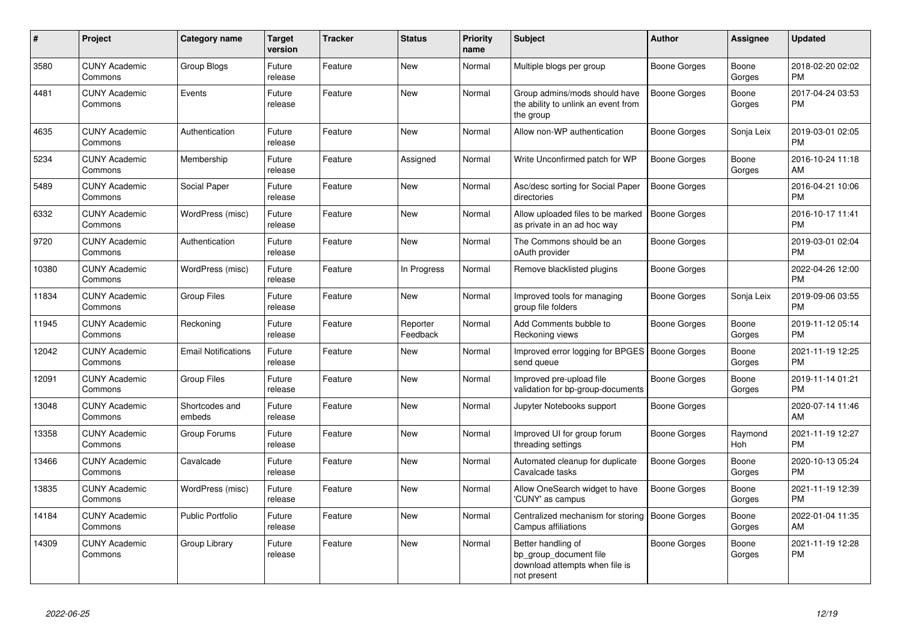| #     | <b>Project</b>                  | <b>Category name</b>       | <b>Target</b><br>version | <b>Tracker</b> | <b>Status</b>        | <b>Priority</b><br>name | Subject                                                                                       | <b>Author</b>       | Assignee              | <b>Updated</b>                |
|-------|---------------------------------|----------------------------|--------------------------|----------------|----------------------|-------------------------|-----------------------------------------------------------------------------------------------|---------------------|-----------------------|-------------------------------|
| 3580  | <b>CUNY Academic</b><br>Commons | Group Blogs                | Future<br>release        | Feature        | <b>New</b>           | Normal                  | Multiple blogs per group                                                                      | Boone Gorges        | Boone<br>Gorges       | 2018-02-20 02:02<br><b>PM</b> |
| 4481  | <b>CUNY Academic</b><br>Commons | Events                     | Future<br>release        | Feature        | <b>New</b>           | Normal                  | Group admins/mods should have<br>the ability to unlink an event from<br>the group             | <b>Boone Gorges</b> | Boone<br>Gorges       | 2017-04-24 03:53<br><b>PM</b> |
| 4635  | <b>CUNY Academic</b><br>Commons | Authentication             | Future<br>release        | Feature        | New                  | Normal                  | Allow non-WP authentication                                                                   | Boone Gorges        | Sonja Leix            | 2019-03-01 02:05<br><b>PM</b> |
| 5234  | <b>CUNY Academic</b><br>Commons | Membership                 | Future<br>release        | Feature        | Assigned             | Normal                  | Write Unconfirmed patch for WP                                                                | Boone Gorges        | Boone<br>Gorges       | 2016-10-24 11:18<br>AM        |
| 5489  | <b>CUNY Academic</b><br>Commons | Social Paper               | Future<br>release        | Feature        | <b>New</b>           | Normal                  | Asc/desc sorting for Social Paper<br>directories                                              | <b>Boone Gorges</b> |                       | 2016-04-21 10:06<br><b>PM</b> |
| 6332  | <b>CUNY Academic</b><br>Commons | WordPress (misc)           | Future<br>release        | Feature        | New                  | Normal                  | Allow uploaded files to be marked<br>as private in an ad hoc way                              | <b>Boone Gorges</b> |                       | 2016-10-17 11:41<br><b>PM</b> |
| 9720  | <b>CUNY Academic</b><br>Commons | Authentication             | Future<br>release        | Feature        | <b>New</b>           | Normal                  | The Commons should be an<br>oAuth provider                                                    | Boone Gorges        |                       | 2019-03-01 02:04<br><b>PM</b> |
| 10380 | <b>CUNY Academic</b><br>Commons | WordPress (misc)           | Future<br>release        | Feature        | In Progress          | Normal                  | Remove blacklisted plugins                                                                    | Boone Gorges        |                       | 2022-04-26 12:00<br><b>PM</b> |
| 11834 | <b>CUNY Academic</b><br>Commons | <b>Group Files</b>         | Future<br>release        | Feature        | <b>New</b>           | Normal                  | Improved tools for managing<br>group file folders                                             | Boone Gorges        | Sonja Leix            | 2019-09-06 03:55<br><b>PM</b> |
| 11945 | <b>CUNY Academic</b><br>Commons | Reckoning                  | Future<br>release        | Feature        | Reporter<br>Feedback | Normal                  | Add Comments bubble to<br>Reckoning views                                                     | Boone Gorges        | Boone<br>Gorges       | 2019-11-12 05:14<br><b>PM</b> |
| 12042 | <b>CUNY Academic</b><br>Commons | <b>Email Notifications</b> | Future<br>release        | Feature        | New                  | Normal                  | Improved error logging for BPGES   Boone Gorges<br>send queue                                 |                     | Boone<br>Gorges       | 2021-11-19 12:25<br><b>PM</b> |
| 12091 | <b>CUNY Academic</b><br>Commons | <b>Group Files</b>         | Future<br>release        | Feature        | <b>New</b>           | Normal                  | Improved pre-upload file<br>validation for bp-group-documents                                 | <b>Boone Gorges</b> | Boone<br>Gorges       | 2019-11-14 01:21<br><b>PM</b> |
| 13048 | <b>CUNY Academic</b><br>Commons | Shortcodes and<br>embeds   | Future<br>release        | Feature        | <b>New</b>           | Normal                  | Jupyter Notebooks support                                                                     | Boone Gorges        |                       | 2020-07-14 11:46<br>AM        |
| 13358 | <b>CUNY Academic</b><br>Commons | Group Forums               | Future<br>release        | Feature        | <b>New</b>           | Normal                  | Improved UI for group forum<br>threading settings                                             | Boone Gorges        | Raymond<br><b>Hoh</b> | 2021-11-19 12:27<br><b>PM</b> |
| 13466 | <b>CUNY Academic</b><br>Commons | Cavalcade                  | Future<br>release        | Feature        | <b>New</b>           | Normal                  | Automated cleanup for duplicate<br>Cavalcade tasks                                            | Boone Gorges        | Boone<br>Gorges       | 2020-10-13 05:24<br><b>PM</b> |
| 13835 | <b>CUNY Academic</b><br>Commons | WordPress (misc)           | Future<br>release        | Feature        | <b>New</b>           | Normal                  | Allow OneSearch widget to have<br>'CUNY' as campus                                            | Boone Gorges        | Boone<br>Gorges       | 2021-11-19 12:39<br><b>PM</b> |
| 14184 | <b>CUNY Academic</b><br>Commons | <b>Public Portfolio</b>    | Future<br>release        | Feature        | <b>New</b>           | Normal                  | Centralized mechanism for storing<br>Campus affiliations                                      | <b>Boone Gorges</b> | Boone<br>Gorges       | 2022-01-04 11:35<br>AM        |
| 14309 | <b>CUNY Academic</b><br>Commons | Group Library              | Future<br>release        | Feature        | <b>New</b>           | Normal                  | Better handling of<br>bp group document file<br>download attempts when file is<br>not present | <b>Boone Gorges</b> | Boone<br>Gorges       | 2021-11-19 12:28<br><b>PM</b> |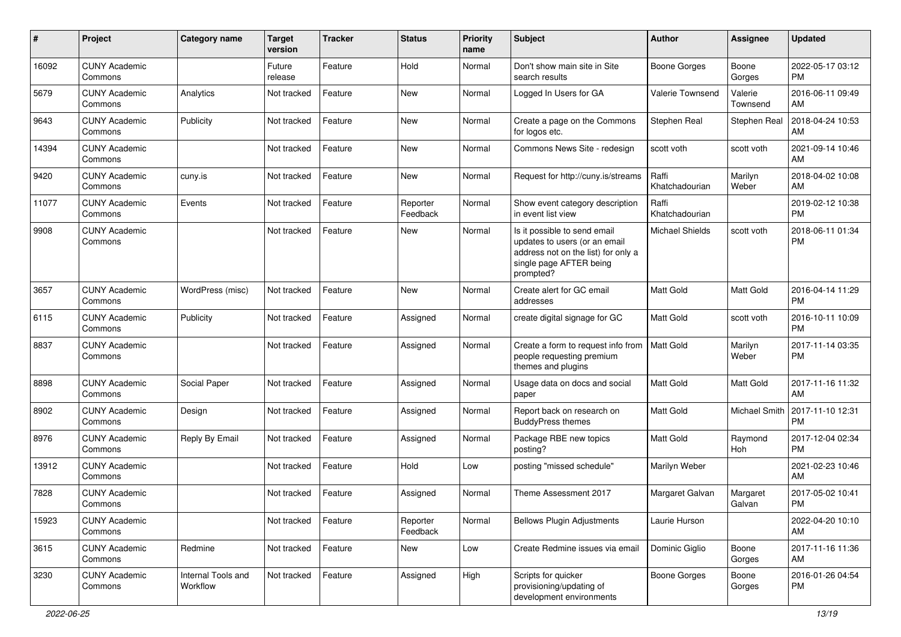| #     | Project                         | <b>Category name</b>           | <b>Target</b><br>version | <b>Tracker</b> | <b>Status</b>        | <b>Priority</b><br>name | <b>Subject</b>                                                                                                                               | <b>Author</b>           | <b>Assignee</b>     | <b>Updated</b>                |
|-------|---------------------------------|--------------------------------|--------------------------|----------------|----------------------|-------------------------|----------------------------------------------------------------------------------------------------------------------------------------------|-------------------------|---------------------|-------------------------------|
| 16092 | <b>CUNY Academic</b><br>Commons |                                | Future<br>release        | Feature        | Hold                 | Normal                  | Don't show main site in Site<br>search results                                                                                               | <b>Boone Gorges</b>     | Boone<br>Gorges     | 2022-05-17 03:12<br><b>PM</b> |
| 5679  | <b>CUNY Academic</b><br>Commons | Analytics                      | Not tracked              | Feature        | New                  | Normal                  | Logged In Users for GA                                                                                                                       | Valerie Townsend        | Valerie<br>Townsend | 2016-06-11 09:49<br>AM        |
| 9643  | <b>CUNY Academic</b><br>Commons | Publicity                      | Not tracked              | Feature        | New                  | Normal                  | Create a page on the Commons<br>for logos etc.                                                                                               | Stephen Real            | Stephen Real        | 2018-04-24 10:53<br>AM        |
| 14394 | <b>CUNY Academic</b><br>Commons |                                | Not tracked              | Feature        | New                  | Normal                  | Commons News Site - redesign                                                                                                                 | scott voth              | scott voth          | 2021-09-14 10:46<br>AM        |
| 9420  | <b>CUNY Academic</b><br>Commons | cuny.is                        | Not tracked              | Feature        | <b>New</b>           | Normal                  | Request for http://cuny.is/streams                                                                                                           | Raffi<br>Khatchadourian | Marilyn<br>Weber    | 2018-04-02 10:08<br>AM        |
| 11077 | <b>CUNY Academic</b><br>Commons | Events                         | Not tracked              | Feature        | Reporter<br>Feedback | Normal                  | Show event category description<br>in event list view                                                                                        | Raffi<br>Khatchadourian |                     | 2019-02-12 10:38<br><b>PM</b> |
| 9908  | <b>CUNY Academic</b><br>Commons |                                | Not tracked              | Feature        | New                  | Normal                  | Is it possible to send email<br>updates to users (or an email<br>address not on the list) for only a<br>single page AFTER being<br>prompted? | Michael Shields         | scott voth          | 2018-06-11 01:34<br><b>PM</b> |
| 3657  | <b>CUNY Academic</b><br>Commons | WordPress (misc)               | Not tracked              | Feature        | New                  | Normal                  | Create alert for GC email<br>addresses                                                                                                       | <b>Matt Gold</b>        | Matt Gold           | 2016-04-14 11:29<br><b>PM</b> |
| 6115  | <b>CUNY Academic</b><br>Commons | Publicity                      | Not tracked              | Feature        | Assigned             | Normal                  | create digital signage for GC                                                                                                                | Matt Gold               | scott voth          | 2016-10-11 10:09<br><b>PM</b> |
| 8837  | <b>CUNY Academic</b><br>Commons |                                | Not tracked              | Feature        | Assigned             | Normal                  | Create a form to request info from<br>people requesting premium<br>themes and plugins                                                        | <b>Matt Gold</b>        | Marilyn<br>Weber    | 2017-11-14 03:35<br><b>PM</b> |
| 8898  | <b>CUNY Academic</b><br>Commons | Social Paper                   | Not tracked              | Feature        | Assigned             | Normal                  | Usage data on docs and social<br>paper                                                                                                       | <b>Matt Gold</b>        | Matt Gold           | 2017-11-16 11:32<br>AM        |
| 8902  | <b>CUNY Academic</b><br>Commons | Design                         | Not tracked              | Feature        | Assigned             | Normal                  | Report back on research on<br><b>BuddyPress themes</b>                                                                                       | Matt Gold               | Michael Smith       | 2017-11-10 12:31<br>PM        |
| 8976  | <b>CUNY Academic</b><br>Commons | Reply By Email                 | Not tracked              | Feature        | Assigned             | Normal                  | Package RBE new topics<br>posting?                                                                                                           | Matt Gold               | Raymond<br>Hoh      | 2017-12-04 02:34<br><b>PM</b> |
| 13912 | <b>CUNY Academic</b><br>Commons |                                | Not tracked              | Feature        | Hold                 | Low                     | posting "missed schedule"                                                                                                                    | Marilyn Weber           |                     | 2021-02-23 10:46<br>AM        |
| 7828  | <b>CUNY Academic</b><br>Commons |                                | Not tracked              | Feature        | Assigned             | Normal                  | Theme Assessment 2017                                                                                                                        | Margaret Galvan         | Margaret<br>Galvan  | 2017-05-02 10:41<br><b>PM</b> |
| 15923 | <b>CUNY Academic</b><br>Commons |                                | Not tracked              | Feature        | Reporter<br>Feedback | Normal                  | <b>Bellows Plugin Adjustments</b>                                                                                                            | Laurie Hurson           |                     | 2022-04-20 10:10<br>AM        |
| 3615  | <b>CUNY Academic</b><br>Commons | Redmine                        | Not tracked              | Feature        | New                  | Low                     | Create Redmine issues via email                                                                                                              | Dominic Giglio          | Boone<br>Gorges     | 2017-11-16 11:36<br>AM        |
| 3230  | <b>CUNY Academic</b><br>Commons | Internal Tools and<br>Workflow | Not tracked              | Feature        | Assigned             | High                    | Scripts for quicker<br>provisioning/updating of<br>development environments                                                                  | <b>Boone Gorges</b>     | Boone<br>Gorges     | 2016-01-26 04:54<br>PM        |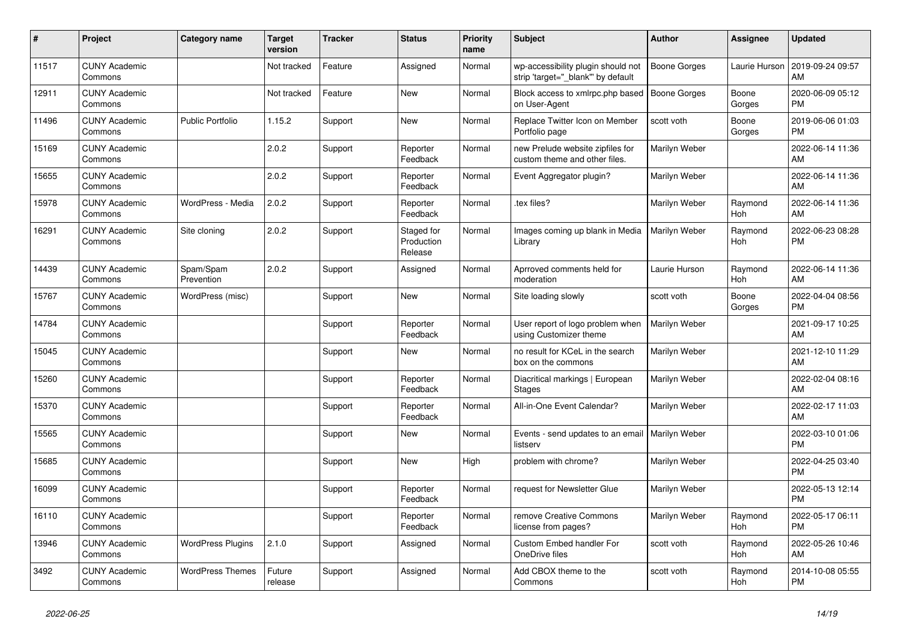| #     | Project                         | Category name            | <b>Target</b><br>version | Tracker | <b>Status</b>                       | <b>Priority</b><br>name | <b>Subject</b>                                                          | <b>Author</b>        | Assignee        | <b>Updated</b>                |
|-------|---------------------------------|--------------------------|--------------------------|---------|-------------------------------------|-------------------------|-------------------------------------------------------------------------|----------------------|-----------------|-------------------------------|
| 11517 | <b>CUNY Academic</b><br>Commons |                          | Not tracked              | Feature | Assigned                            | Normal                  | wp-accessibility plugin should not<br>strip 'target=" blank" by default | <b>Boone Gorges</b>  | Laurie Hurson   | 2019-09-24 09:57<br>AM        |
| 12911 | <b>CUNY Academic</b><br>Commons |                          | Not tracked              | Feature | New                                 | Normal                  | Block access to xmlrpc.php based<br>on User-Agent                       | Boone Gorges         | Boone<br>Gorges | 2020-06-09 05:12<br><b>PM</b> |
| 11496 | <b>CUNY Academic</b><br>Commons | <b>Public Portfolio</b>  | 1.15.2                   | Support | New                                 | Normal                  | Replace Twitter Icon on Member<br>Portfolio page                        | scott voth           | Boone<br>Gorges | 2019-06-06 01:03<br><b>PM</b> |
| 15169 | <b>CUNY Academic</b><br>Commons |                          | 2.0.2                    | Support | Reporter<br>Feedback                | Normal                  | new Prelude website zipfiles for<br>custom theme and other files.       | Marilyn Weber        |                 | 2022-06-14 11:36<br>AM        |
| 15655 | <b>CUNY Academic</b><br>Commons |                          | 2.0.2                    | Support | Reporter<br>Feedback                | Normal                  | Event Aggregator plugin?                                                | Marilyn Weber        |                 | 2022-06-14 11:36<br>AM        |
| 15978 | <b>CUNY Academic</b><br>Commons | WordPress - Media        | 2.0.2                    | Support | Reporter<br>Feedback                | Normal                  | tex files?                                                              | Marilyn Weber        | Raymond<br>Hoh  | 2022-06-14 11:36<br>AM        |
| 16291 | <b>CUNY Academic</b><br>Commons | Site cloning             | 2.0.2                    | Support | Staged for<br>Production<br>Release | Normal                  | Images coming up blank in Media<br>Library                              | Marilyn Weber        | Raymond<br>Hoh  | 2022-06-23 08:28<br><b>PM</b> |
| 14439 | <b>CUNY Academic</b><br>Commons | Spam/Spam<br>Prevention  | 2.0.2                    | Support | Assigned                            | Normal                  | Aprroved comments held for<br>moderation                                | Laurie Hurson        | Raymond<br>Hoh  | 2022-06-14 11:36<br>AM        |
| 15767 | <b>CUNY Academic</b><br>Commons | WordPress (misc)         |                          | Support | <b>New</b>                          | Normal                  | Site loading slowly                                                     | scott voth           | Boone<br>Gorges | 2022-04-04 08:56<br><b>PM</b> |
| 14784 | <b>CUNY Academic</b><br>Commons |                          |                          | Support | Reporter<br>Feedback                | Normal                  | User report of logo problem when<br>using Customizer theme              | Marilyn Weber        |                 | 2021-09-17 10:25<br>AM        |
| 15045 | <b>CUNY Academic</b><br>Commons |                          |                          | Support | New                                 | Normal                  | no result for KCeL in the search<br>box on the commons                  | Marilyn Weber        |                 | 2021-12-10 11:29<br>AM        |
| 15260 | <b>CUNY Academic</b><br>Commons |                          |                          | Support | Reporter<br>Feedback                | Normal                  | Diacritical markings   European<br>Stages                               | Marilyn Weber        |                 | 2022-02-04 08:16<br>AM        |
| 15370 | <b>CUNY Academic</b><br>Commons |                          |                          | Support | Reporter<br>Feedback                | Normal                  | All-in-One Event Calendar?                                              | Marilyn Weber        |                 | 2022-02-17 11:03<br>AM        |
| 15565 | <b>CUNY Academic</b><br>Commons |                          |                          | Support | New                                 | Normal                  | Events - send updates to an email<br>listserv                           | <b>Marilyn Weber</b> |                 | 2022-03-10 01:06<br><b>PM</b> |
| 15685 | <b>CUNY Academic</b><br>Commons |                          |                          | Support | <b>New</b>                          | High                    | problem with chrome?                                                    | Marilyn Weber        |                 | 2022-04-25 03:40<br><b>PM</b> |
| 16099 | <b>CUNY Academic</b><br>Commons |                          |                          | Support | Reporter<br>Feedback                | Normal                  | request for Newsletter Glue                                             | Marilyn Weber        |                 | 2022-05-13 12:14<br><b>PM</b> |
| 16110 | <b>CUNY Academic</b><br>Commons |                          |                          | Support | Reporter<br>Feedback                | Normal                  | remove Creative Commons<br>license from pages?                          | Marilyn Weber        | Raymond<br>Hoh  | 2022-05-17 06:11<br><b>PM</b> |
| 13946 | <b>CUNY Academic</b><br>Commons | <b>WordPress Plugins</b> | 2.1.0                    | Support | Assigned                            | Normal                  | <b>Custom Embed handler For</b><br>OneDrive files                       | scott voth           | Raymond<br>Hoh  | 2022-05-26 10:46<br>AM        |
| 3492  | <b>CUNY Academic</b><br>Commons | <b>WordPress Themes</b>  | Future<br>release        | Support | Assigned                            | Normal                  | Add CBOX theme to the<br>Commons                                        | scott voth           | Raymond<br>Hoh  | 2014-10-08 05:55<br><b>PM</b> |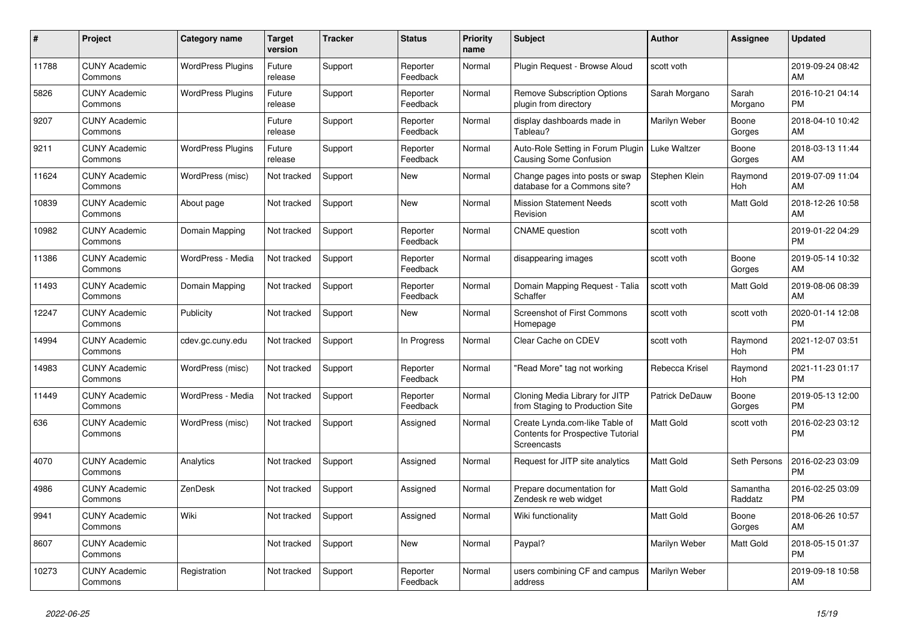| #     | <b>Project</b>                  | Category name            | <b>Target</b><br>version | <b>Tracker</b> | <b>Status</b>        | <b>Priority</b><br>name | <b>Subject</b>                                                                     | <b>Author</b>    | <b>Assignee</b>     | <b>Updated</b>                |
|-------|---------------------------------|--------------------------|--------------------------|----------------|----------------------|-------------------------|------------------------------------------------------------------------------------|------------------|---------------------|-------------------------------|
| 11788 | <b>CUNY Academic</b><br>Commons | <b>WordPress Plugins</b> | Future<br>release        | Support        | Reporter<br>Feedback | Normal                  | Plugin Request - Browse Aloud                                                      | scott voth       |                     | 2019-09-24 08:42<br>AM        |
| 5826  | <b>CUNY Academic</b><br>Commons | <b>WordPress Plugins</b> | Future<br>release        | Support        | Reporter<br>Feedback | Normal                  | <b>Remove Subscription Options</b><br>plugin from directory                        | Sarah Morgano    | Sarah<br>Morgano    | 2016-10-21 04:14<br><b>PM</b> |
| 9207  | <b>CUNY Academic</b><br>Commons |                          | Future<br>release        | Support        | Reporter<br>Feedback | Normal                  | display dashboards made in<br>Tableau?                                             | Marilyn Weber    | Boone<br>Gorges     | 2018-04-10 10:42<br>AM        |
| 9211  | <b>CUNY Academic</b><br>Commons | <b>WordPress Plugins</b> | Future<br>release        | Support        | Reporter<br>Feedback | Normal                  | Auto-Role Setting in Forum Plugin<br><b>Causing Some Confusion</b>                 | Luke Waltzer     | Boone<br>Gorges     | 2018-03-13 11:44<br>AM        |
| 11624 | <b>CUNY Academic</b><br>Commons | WordPress (misc)         | Not tracked              | Support        | <b>New</b>           | Normal                  | Change pages into posts or swap<br>database for a Commons site?                    | Stephen Klein    | Raymond<br>Hoh      | 2019-07-09 11:04<br>AM        |
| 10839 | <b>CUNY Academic</b><br>Commons | About page               | Not tracked              | Support        | New                  | Normal                  | <b>Mission Statement Needs</b><br>Revision                                         | scott voth       | Matt Gold           | 2018-12-26 10:58<br>AM        |
| 10982 | <b>CUNY Academic</b><br>Commons | Domain Mapping           | Not tracked              | Support        | Reporter<br>Feedback | Normal                  | <b>CNAME</b> question                                                              | scott voth       |                     | 2019-01-22 04:29<br><b>PM</b> |
| 11386 | <b>CUNY Academic</b><br>Commons | WordPress - Media        | Not tracked              | Support        | Reporter<br>Feedback | Normal                  | disappearing images                                                                | scott voth       | Boone<br>Gorges     | 2019-05-14 10:32<br>AM        |
| 11493 | <b>CUNY Academic</b><br>Commons | Domain Mapping           | Not tracked              | Support        | Reporter<br>Feedback | Normal                  | Domain Mapping Request - Talia<br>Schaffer                                         | scott voth       | Matt Gold           | 2019-08-06 08:39<br>AM        |
| 12247 | <b>CUNY Academic</b><br>Commons | Publicity                | Not tracked              | Support        | <b>New</b>           | Normal                  | <b>Screenshot of First Commons</b><br>Homepage                                     | scott voth       | scott voth          | 2020-01-14 12:08<br><b>PM</b> |
| 14994 | <b>CUNY Academic</b><br>Commons | cdev.gc.cuny.edu         | Not tracked              | Support        | In Progress          | Normal                  | Clear Cache on CDEV                                                                | scott voth       | Raymond<br>Hoh      | 2021-12-07 03:51<br><b>PM</b> |
| 14983 | <b>CUNY Academic</b><br>Commons | WordPress (misc)         | Not tracked              | Support        | Reporter<br>Feedback | Normal                  | 'Read More" tag not working                                                        | Rebecca Krisel   | Raymond<br>Hoh      | 2021-11-23 01:17<br><b>PM</b> |
| 11449 | <b>CUNY Academic</b><br>Commons | WordPress - Media        | Not tracked              | Support        | Reporter<br>Feedback | Normal                  | Cloning Media Library for JITP<br>from Staging to Production Site                  | Patrick DeDauw   | Boone<br>Gorges     | 2019-05-13 12:00<br><b>PM</b> |
| 636   | <b>CUNY Academic</b><br>Commons | WordPress (misc)         | Not tracked              | Support        | Assigned             | Normal                  | Create Lynda.com-like Table of<br>Contents for Prospective Tutorial<br>Screencasts | <b>Matt Gold</b> | scott voth          | 2016-02-23 03:12<br><b>PM</b> |
| 4070  | <b>CUNY Academic</b><br>Commons | Analytics                | Not tracked              | Support        | Assigned             | Normal                  | Request for JITP site analytics                                                    | <b>Matt Gold</b> | Seth Persons        | 2016-02-23 03:09<br><b>PM</b> |
| 4986  | <b>CUNY Academic</b><br>Commons | ZenDesk                  | Not tracked              | Support        | Assigned             | Normal                  | Prepare documentation for<br>Zendesk re web widget                                 | <b>Matt Gold</b> | Samantha<br>Raddatz | 2016-02-25 03:09<br><b>PM</b> |
| 9941  | <b>CUNY Academic</b><br>Commons | Wiki                     | Not tracked              | Support        | Assigned             | Normal                  | Wiki functionality                                                                 | <b>Matt Gold</b> | Boone<br>Gorges     | 2018-06-26 10:57<br>AM        |
| 8607  | <b>CUNY Academic</b><br>Commons |                          | Not tracked              | Support        | <b>New</b>           | Normal                  | Paypal?                                                                            | Marilyn Weber    | Matt Gold           | 2018-05-15 01:37<br><b>PM</b> |
| 10273 | <b>CUNY Academic</b><br>Commons | Registration             | Not tracked              | Support        | Reporter<br>Feedback | Normal                  | users combining CF and campus<br>address                                           | Marilyn Weber    |                     | 2019-09-18 10:58<br>AM        |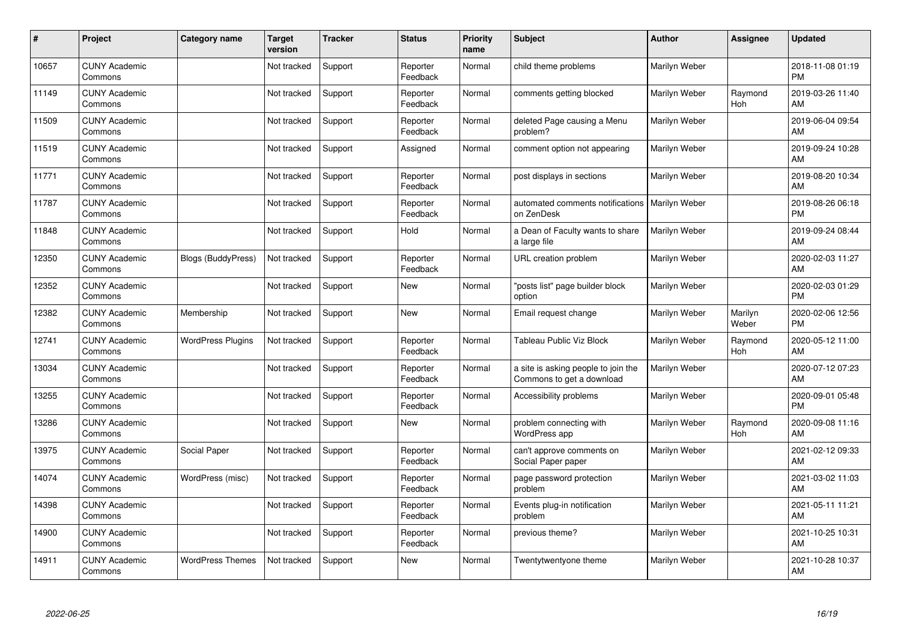| $\#$  | Project                         | <b>Category name</b>      | <b>Target</b><br>version | <b>Tracker</b> | <b>Status</b>        | <b>Priority</b><br>name | <b>Subject</b>                                                   | <b>Author</b> | <b>Assignee</b>       | <b>Updated</b>                |
|-------|---------------------------------|---------------------------|--------------------------|----------------|----------------------|-------------------------|------------------------------------------------------------------|---------------|-----------------------|-------------------------------|
| 10657 | <b>CUNY Academic</b><br>Commons |                           | Not tracked              | Support        | Reporter<br>Feedback | Normal                  | child theme problems                                             | Marilyn Weber |                       | 2018-11-08 01:19<br><b>PM</b> |
| 11149 | <b>CUNY Academic</b><br>Commons |                           | Not tracked              | Support        | Reporter<br>Feedback | Normal                  | comments getting blocked                                         | Marilyn Weber | Raymond<br><b>Hoh</b> | 2019-03-26 11:40<br>AM        |
| 11509 | <b>CUNY Academic</b><br>Commons |                           | Not tracked              | Support        | Reporter<br>Feedback | Normal                  | deleted Page causing a Menu<br>problem?                          | Marilyn Weber |                       | 2019-06-04 09:54<br>AM        |
| 11519 | <b>CUNY Academic</b><br>Commons |                           | Not tracked              | Support        | Assigned             | Normal                  | comment option not appearing                                     | Marilyn Weber |                       | 2019-09-24 10:28<br>AM        |
| 11771 | <b>CUNY Academic</b><br>Commons |                           | Not tracked              | Support        | Reporter<br>Feedback | Normal                  | post displays in sections                                        | Marilyn Weber |                       | 2019-08-20 10:34<br>AM        |
| 11787 | <b>CUNY Academic</b><br>Commons |                           | Not tracked              | Support        | Reporter<br>Feedback | Normal                  | automated comments notifications<br>on ZenDesk                   | Marilyn Weber |                       | 2019-08-26 06:18<br><b>PM</b> |
| 11848 | <b>CUNY Academic</b><br>Commons |                           | Not tracked              | Support        | Hold                 | Normal                  | a Dean of Faculty wants to share<br>a large file                 | Marilyn Weber |                       | 2019-09-24 08:44<br>AM        |
| 12350 | <b>CUNY Academic</b><br>Commons | <b>Blogs (BuddyPress)</b> | Not tracked              | Support        | Reporter<br>Feedback | Normal                  | URL creation problem                                             | Marilyn Weber |                       | 2020-02-03 11:27<br>AM        |
| 12352 | <b>CUNY Academic</b><br>Commons |                           | Not tracked              | Support        | New                  | Normal                  | 'posts list" page builder block<br>option                        | Marilyn Weber |                       | 2020-02-03 01:29<br><b>PM</b> |
| 12382 | <b>CUNY Academic</b><br>Commons | Membership                | Not tracked              | Support        | New                  | Normal                  | Email request change                                             | Marilyn Weber | Marilyn<br>Weber      | 2020-02-06 12:56<br><b>PM</b> |
| 12741 | <b>CUNY Academic</b><br>Commons | <b>WordPress Plugins</b>  | Not tracked              | Support        | Reporter<br>Feedback | Normal                  | Tableau Public Viz Block                                         | Marilyn Weber | Raymond<br>Hoh        | 2020-05-12 11:00<br>AM        |
| 13034 | <b>CUNY Academic</b><br>Commons |                           | Not tracked              | Support        | Reporter<br>Feedback | Normal                  | a site is asking people to join the<br>Commons to get a download | Marilyn Weber |                       | 2020-07-12 07:23<br>AM        |
| 13255 | <b>CUNY Academic</b><br>Commons |                           | Not tracked              | Support        | Reporter<br>Feedback | Normal                  | Accessibility problems                                           | Marilyn Weber |                       | 2020-09-01 05:48<br><b>PM</b> |
| 13286 | <b>CUNY Academic</b><br>Commons |                           | Not tracked              | Support        | <b>New</b>           | Normal                  | problem connecting with<br>WordPress app                         | Marilyn Weber | Raymond<br>Hoh        | 2020-09-08 11:16<br>AM        |
| 13975 | <b>CUNY Academic</b><br>Commons | Social Paper              | Not tracked              | Support        | Reporter<br>Feedback | Normal                  | can't approve comments on<br>Social Paper paper                  | Marilyn Weber |                       | 2021-02-12 09:33<br>AM        |
| 14074 | <b>CUNY Academic</b><br>Commons | WordPress (misc)          | Not tracked              | Support        | Reporter<br>Feedback | Normal                  | page password protection<br>problem                              | Marilyn Weber |                       | 2021-03-02 11:03<br>AM        |
| 14398 | <b>CUNY Academic</b><br>Commons |                           | Not tracked              | Support        | Reporter<br>Feedback | Normal                  | Events plug-in notification<br>problem                           | Marilyn Weber |                       | 2021-05-11 11:21<br>AM        |
| 14900 | <b>CUNY Academic</b><br>Commons |                           | Not tracked              | Support        | Reporter<br>Feedback | Normal                  | previous theme?                                                  | Marilyn Weber |                       | 2021-10-25 10:31<br>AM        |
| 14911 | <b>CUNY Academic</b><br>Commons | <b>WordPress Themes</b>   | Not tracked              | Support        | <b>New</b>           | Normal                  | Twentytwentyone theme                                            | Marilyn Weber |                       | 2021-10-28 10:37<br>AM        |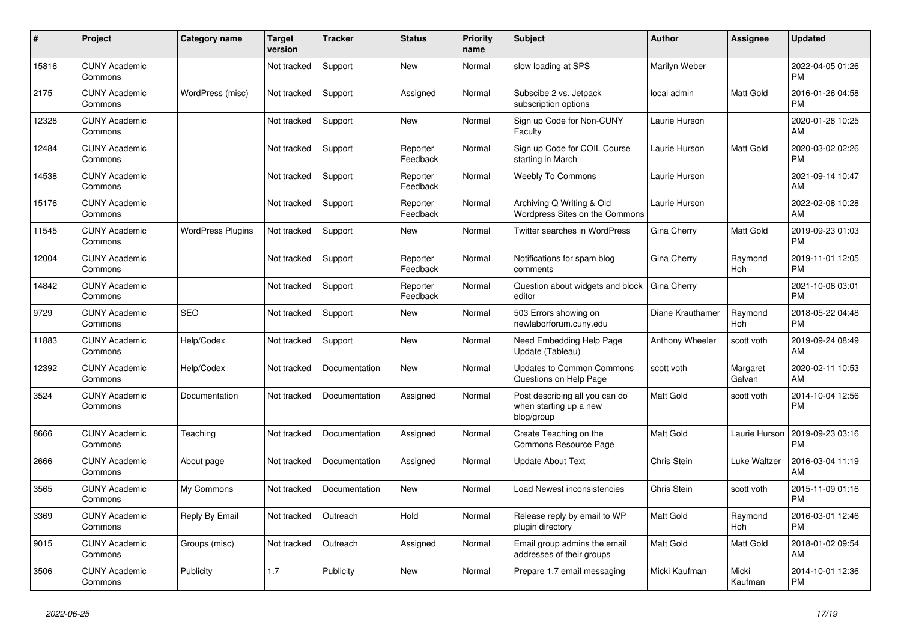| #     | <b>Project</b>                  | Category name            | <b>Target</b><br>version | Tracker       | <b>Status</b>        | <b>Priority</b><br>name | <b>Subject</b>                                                         | <b>Author</b>      | <b>Assignee</b>       | <b>Updated</b>                |
|-------|---------------------------------|--------------------------|--------------------------|---------------|----------------------|-------------------------|------------------------------------------------------------------------|--------------------|-----------------------|-------------------------------|
| 15816 | <b>CUNY Academic</b><br>Commons |                          | Not tracked              | Support       | <b>New</b>           | Normal                  | slow loading at SPS                                                    | Marilyn Weber      |                       | 2022-04-05 01:26<br><b>PM</b> |
| 2175  | <b>CUNY Academic</b><br>Commons | WordPress (misc)         | Not tracked              | Support       | Assigned             | Normal                  | Subscibe 2 vs. Jetpack<br>subscription options                         | local admin        | Matt Gold             | 2016-01-26 04:58<br><b>PM</b> |
| 12328 | <b>CUNY Academic</b><br>Commons |                          | Not tracked              | Support       | New                  | Normal                  | Sign up Code for Non-CUNY<br>Faculty                                   | Laurie Hurson      |                       | 2020-01-28 10:25<br>AM        |
| 12484 | <b>CUNY Academic</b><br>Commons |                          | Not tracked              | Support       | Reporter<br>Feedback | Normal                  | Sign up Code for COIL Course<br>starting in March                      | Laurie Hurson      | <b>Matt Gold</b>      | 2020-03-02 02:26<br><b>PM</b> |
| 14538 | <b>CUNY Academic</b><br>Commons |                          | Not tracked              | Support       | Reporter<br>Feedback | Normal                  | <b>Weebly To Commons</b>                                               | Laurie Hurson      |                       | 2021-09-14 10:47<br>AM        |
| 15176 | <b>CUNY Academic</b><br>Commons |                          | Not tracked              | Support       | Reporter<br>Feedback | Normal                  | Archiving Q Writing & Old<br>Wordpress Sites on the Commons            | Laurie Hurson      |                       | 2022-02-08 10:28<br>AM        |
| 11545 | <b>CUNY Academic</b><br>Commons | <b>WordPress Plugins</b> | Not tracked              | Support       | <b>New</b>           | Normal                  | Twitter searches in WordPress                                          | Gina Cherry        | <b>Matt Gold</b>      | 2019-09-23 01:03<br><b>PM</b> |
| 12004 | <b>CUNY Academic</b><br>Commons |                          | Not tracked              | Support       | Reporter<br>Feedback | Normal                  | Notifications for spam blog<br>comments                                | Gina Cherry        | Raymond<br>Hoh        | 2019-11-01 12:05<br><b>PM</b> |
| 14842 | <b>CUNY Academic</b><br>Commons |                          | Not tracked              | Support       | Reporter<br>Feedback | Normal                  | Question about widgets and block<br>editor                             | Gina Cherry        |                       | 2021-10-06 03:01<br><b>PM</b> |
| 9729  | <b>CUNY Academic</b><br>Commons | <b>SEO</b>               | Not tracked              | Support       | <b>New</b>           | Normal                  | 503 Errors showing on<br>newlaborforum.cuny.edu                        | Diane Krauthamer   | Raymond<br><b>Hoh</b> | 2018-05-22 04:48<br><b>PM</b> |
| 11883 | <b>CUNY Academic</b><br>Commons | Help/Codex               | Not tracked              | Support       | <b>New</b>           | Normal                  | Need Embedding Help Page<br>Update (Tableau)                           | Anthony Wheeler    | scott voth            | 2019-09-24 08:49<br>AM        |
| 12392 | <b>CUNY Academic</b><br>Commons | Help/Codex               | Not tracked              | Documentation | <b>New</b>           | Normal                  | <b>Updates to Common Commons</b><br>Questions on Help Page             | scott voth         | Margaret<br>Galvan    | 2020-02-11 10:53<br>AM        |
| 3524  | <b>CUNY Academic</b><br>Commons | Documentation            | Not tracked              | Documentation | Assigned             | Normal                  | Post describing all you can do<br>when starting up a new<br>blog/group | Matt Gold          | scott voth            | 2014-10-04 12:56<br><b>PM</b> |
| 8666  | <b>CUNY Academic</b><br>Commons | Teaching                 | Not tracked              | Documentation | Assigned             | Normal                  | Create Teaching on the<br><b>Commons Resource Page</b>                 | <b>Matt Gold</b>   | Laurie Hurson         | 2019-09-23 03:16<br><b>PM</b> |
| 2666  | <b>CUNY Academic</b><br>Commons | About page               | Not tracked              | Documentation | Assigned             | Normal                  | <b>Update About Text</b>                                               | Chris Stein        | Luke Waltzer          | 2016-03-04 11:19<br>AM        |
| 3565  | <b>CUNY Academic</b><br>Commons | My Commons               | Not tracked              | Documentation | <b>New</b>           | Normal                  | Load Newest inconsistencies                                            | <b>Chris Stein</b> | scott voth            | 2015-11-09 01:16<br><b>PM</b> |
| 3369  | <b>CUNY Academic</b><br>Commons | Reply By Email           | Not tracked              | Outreach      | Hold                 | Normal                  | Release reply by email to WP<br>plugin directory                       | Matt Gold          | Raymond<br><b>Hoh</b> | 2016-03-01 12:46<br><b>PM</b> |
| 9015  | <b>CUNY Academic</b><br>Commons | Groups (misc)            | Not tracked              | Outreach      | Assigned             | Normal                  | Email group admins the email<br>addresses of their groups              | Matt Gold          | Matt Gold             | 2018-01-02 09:54<br>AM        |
| 3506  | <b>CUNY Academic</b><br>Commons | Publicity                | 1.7                      | Publicity     | <b>New</b>           | Normal                  | Prepare 1.7 email messaging                                            | Micki Kaufman      | Micki<br>Kaufman      | 2014-10-01 12:36<br><b>PM</b> |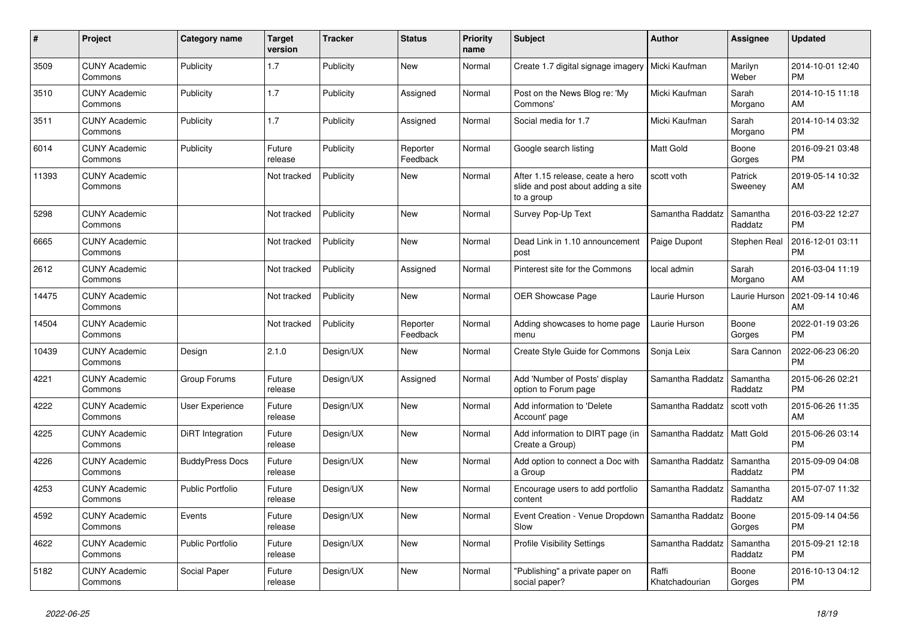| #     | <b>Project</b>                  | Category name           | <b>Target</b><br>version | <b>Tracker</b> | <b>Status</b>        | <b>Priority</b><br>name | <b>Subject</b>                                                                       | <b>Author</b>           | Assignee            | <b>Updated</b>                |
|-------|---------------------------------|-------------------------|--------------------------|----------------|----------------------|-------------------------|--------------------------------------------------------------------------------------|-------------------------|---------------------|-------------------------------|
| 3509  | <b>CUNY Academic</b><br>Commons | Publicity               | 1.7                      | Publicity      | <b>New</b>           | Normal                  | Create 1.7 digital signage imagery                                                   | Micki Kaufman           | Marilyn<br>Weber    | 2014-10-01 12:40<br><b>PM</b> |
| 3510  | <b>CUNY Academic</b><br>Commons | Publicity               | 1.7                      | Publicity      | Assigned             | Normal                  | Post on the News Blog re: 'My<br>Commons'                                            | Micki Kaufman           | Sarah<br>Morgano    | 2014-10-15 11:18<br>AM        |
| 3511  | <b>CUNY Academic</b><br>Commons | Publicity               | 1.7                      | Publicity      | Assigned             | Normal                  | Social media for 1.7                                                                 | Micki Kaufman           | Sarah<br>Morgano    | 2014-10-14 03:32<br><b>PM</b> |
| 6014  | <b>CUNY Academic</b><br>Commons | Publicity               | Future<br>release        | Publicity      | Reporter<br>Feedback | Normal                  | Google search listing                                                                | <b>Matt Gold</b>        | Boone<br>Gorges     | 2016-09-21 03:48<br><b>PM</b> |
| 11393 | <b>CUNY Academic</b><br>Commons |                         | Not tracked              | Publicity      | <b>New</b>           | Normal                  | After 1.15 release, ceate a hero<br>slide and post about adding a site<br>to a group | scott voth              | Patrick<br>Sweeney  | 2019-05-14 10:32<br>AM        |
| 5298  | <b>CUNY Academic</b><br>Commons |                         | Not tracked              | Publicity      | <b>New</b>           | Normal                  | Survey Pop-Up Text                                                                   | Samantha Raddatz        | Samantha<br>Raddatz | 2016-03-22 12:27<br><b>PM</b> |
| 6665  | <b>CUNY Academic</b><br>Commons |                         | Not tracked              | Publicity      | <b>New</b>           | Normal                  | Dead Link in 1.10 announcement<br>post                                               | Paige Dupont            | Stephen Real        | 2016-12-01 03:11<br><b>PM</b> |
| 2612  | <b>CUNY Academic</b><br>Commons |                         | Not tracked              | Publicity      | Assigned             | Normal                  | Pinterest site for the Commons                                                       | local admin             | Sarah<br>Morgano    | 2016-03-04 11:19<br>AM        |
| 14475 | <b>CUNY Academic</b><br>Commons |                         | Not tracked              | Publicity      | <b>New</b>           | Normal                  | <b>OER Showcase Page</b>                                                             | Laurie Hurson           | Laurie Hurson       | 2021-09-14 10:46<br>AM        |
| 14504 | <b>CUNY Academic</b><br>Commons |                         | Not tracked              | Publicity      | Reporter<br>Feedback | Normal                  | Adding showcases to home page<br>menu                                                | Laurie Hurson           | Boone<br>Gorges     | 2022-01-19 03:26<br><b>PM</b> |
| 10439 | <b>CUNY Academic</b><br>Commons | Design                  | 2.1.0                    | Design/UX      | <b>New</b>           | Normal                  | Create Style Guide for Commons                                                       | Sonja Leix              | Sara Cannon         | 2022-06-23 06:20<br><b>PM</b> |
| 4221  | <b>CUNY Academic</b><br>Commons | Group Forums            | Future<br>release        | Design/UX      | Assigned             | Normal                  | Add 'Number of Posts' display<br>option to Forum page                                | Samantha Raddatz        | Samantha<br>Raddatz | 2015-06-26 02:21<br><b>PM</b> |
| 4222  | <b>CUNY Academic</b><br>Commons | <b>User Experience</b>  | Future<br>release        | Design/UX      | <b>New</b>           | Normal                  | Add information to 'Delete<br>Account' page                                          | Samantha Raddatz        | scott voth          | 2015-06-26 11:35<br>AM        |
| 4225  | <b>CUNY Academic</b><br>Commons | <b>DiRT</b> Integration | Future<br>release        | Design/UX      | <b>New</b>           | Normal                  | Add information to DIRT page (in<br>Create a Group)                                  | Samantha Raddatz        | Matt Gold           | 2015-06-26 03:14<br><b>PM</b> |
| 4226  | <b>CUNY Academic</b><br>Commons | <b>BuddyPress Docs</b>  | Future<br>release        | Design/UX      | New                  | Normal                  | Add option to connect a Doc with<br>a Group                                          | Samantha Raddatz        | Samantha<br>Raddatz | 2015-09-09 04:08<br><b>PM</b> |
| 4253  | <b>CUNY Academic</b><br>Commons | <b>Public Portfolio</b> | Future<br>release        | Design/UX      | <b>New</b>           | Normal                  | Encourage users to add portfolio<br>content                                          | Samantha Raddatz        | Samantha<br>Raddatz | 2015-07-07 11:32<br>AM        |
| 4592  | <b>CUNY Academic</b><br>Commons | Events                  | Future<br>release        | Design/UX      | <b>New</b>           | Normal                  | Event Creation - Venue Dropdown   Samantha Raddatz<br>Slow                           |                         | Boone<br>Gorges     | 2015-09-14 04:56<br><b>PM</b> |
| 4622  | <b>CUNY Academic</b><br>Commons | <b>Public Portfolio</b> | Future<br>release        | Design/UX      | <b>New</b>           | Normal                  | <b>Profile Visibility Settings</b>                                                   | Samantha Raddatz        | Samantha<br>Raddatz | 2015-09-21 12:18<br><b>PM</b> |
| 5182  | <b>CUNY Academic</b><br>Commons | Social Paper            | Future<br>release        | Design/UX      | <b>New</b>           | Normal                  | 'Publishing" a private paper on<br>social paper?                                     | Raffi<br>Khatchadourian | Boone<br>Gorges     | 2016-10-13 04:12<br><b>PM</b> |